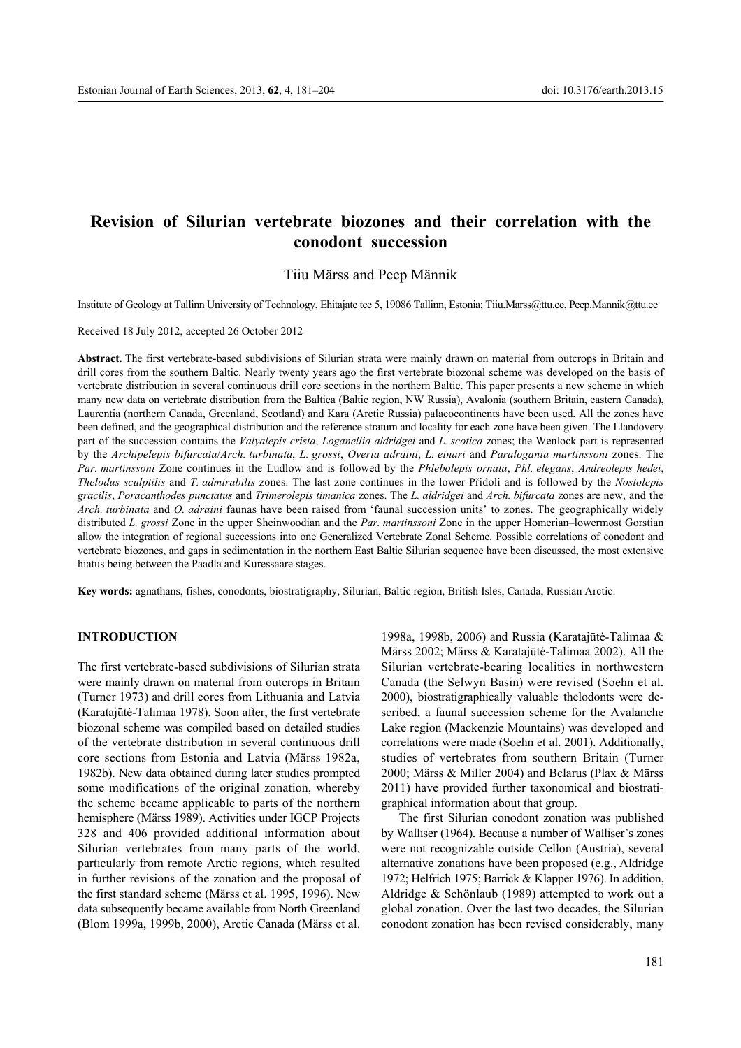# **Revision of Silurian vertebrate biozones and their correlation with the conodont succession**

Tiiu Märss and Peep Männik

Institute of Geology at Tallinn University of Technology, Ehitajate tee 5, 19086 Tallinn, Estonia; Tiiu.Marss@ttu.ee, Peep.Mannik@ttu.ee

Received 18 July 2012, accepted 26 October 2012

**Abstract.** The first vertebrate-based subdivisions of Silurian strata were mainly drawn on material from outcrops in Britain and drill cores from the southern Baltic. Nearly twenty years ago the first vertebrate biozonal scheme was developed on the basis of vertebrate distribution in several continuous drill core sections in the northern Baltic. This paper presents a new scheme in which many new data on vertebrate distribution from the Baltica (Baltic region, NW Russia), Avalonia (southern Britain, eastern Canada), Laurentia (northern Canada, Greenland, Scotland) and Kara (Arctic Russia) palaeocontinents have been used. All the zones have been defined, and the geographical distribution and the reference stratum and locality for each zone have been given. The Llandovery part of the succession contains the *Valyalepis crista*, *Loganellia aldridgei* and *L. scotica* zones; the Wenlock part is represented by the *Archipelepis bifurcata*/*Arch. turbinata*, *L. grossi*, *Overia adraini*, *L. einari* and *Paralogania martinssoni* zones. The *Par. martinssoni* Zone continues in the Ludlow and is followed by the *Phlebolepis ornata*, *Phl. elegans*, *Andreolepis hedei*, *Thelodus sculptilis* and *T. admirabilis* zones. The last zone continues in the lower Přidoli and is followed by the *Nostolepis gracilis*, *Poracanthodes punctatus* and *Trimerolepis timanica* zones. The *L. aldridgei* and *Arch. bifurcata* zones are new, and the *Arch. turbinata* and *O. adraini* faunas have been raised from 'faunal succession units' to zones. The geographically widely distributed *L. grossi* Zone in the upper Sheinwoodian and the *Par. martinssoni* Zone in the upper Homerian–lowermost Gorstian allow the integration of regional successions into one Generalized Vertebrate Zonal Scheme. Possible correlations of conodont and vertebrate biozones, and gaps in sedimentation in the northern East Baltic Silurian sequence have been discussed, the most extensive hiatus being between the Paadla and Kuressaare stages.

**Key words:** agnathans, fishes, conodonts, biostratigraphy, Silurian, Baltic region, British Isles, Canada, Russian Arctic.

# **INTRODUCTION**

The first vertebrate-based subdivisions of Silurian strata were mainly drawn on material from outcrops in Britain (Turner 1973) and drill cores from Lithuania and Latvia (Karatajūtė-Talimaa 1978). Soon after, the first vertebrate biozonal scheme was compiled based on detailed studies of the vertebrate distribution in several continuous drill core sections from Estonia and Latvia (Märss 1982a, 1982b). New data obtained during later studies prompted some modifications of the original zonation, whereby the scheme became applicable to parts of the northern hemisphere (Märss 1989). Activities under IGCP Projects 328 and 406 provided additional information about Silurian vertebrates from many parts of the world, particularly from remote Arctic regions, which resulted in further revisions of the zonation and the proposal of the first standard scheme (Märss et al. 1995, 1996). New data subsequently became available from North Greenland (Blom 1999a, 1999b, 2000), Arctic Canada (Märss et al. 1998a, 1998b, 2006) and Russia (Karatajūtė-Talimaa & M‰rss 2002; M‰rss & Karatajūtė-Talimaa 2002). All the Silurian vertebrate-bearing localities in northwestern Canada (the Selwyn Basin) were revised (Soehn et al. 2000), biostratigraphically valuable thelodonts were described, a faunal succession scheme for the Avalanche Lake region (Mackenzie Mountains) was developed and correlations were made (Soehn et al. 2001). Additionally, studies of vertebrates from southern Britain (Turner 2000; Märss & Miller 2004) and Belarus (Plax & Märss 2011) have provided further taxonomical and biostratigraphical information about that group.

The first Silurian conodont zonation was published by Walliser (1964). Because a number of Walliser's zones were not recognizable outside Cellon (Austria), several alternative zonations have been proposed (e.g., Aldridge 1972; Helfrich 1975; Barrick & Klapper 1976). In addition, Aldridge  $&$  Schönlaub (1989) attempted to work out a global zonation. Over the last two decades, the Silurian conodont zonation has been revised considerably, many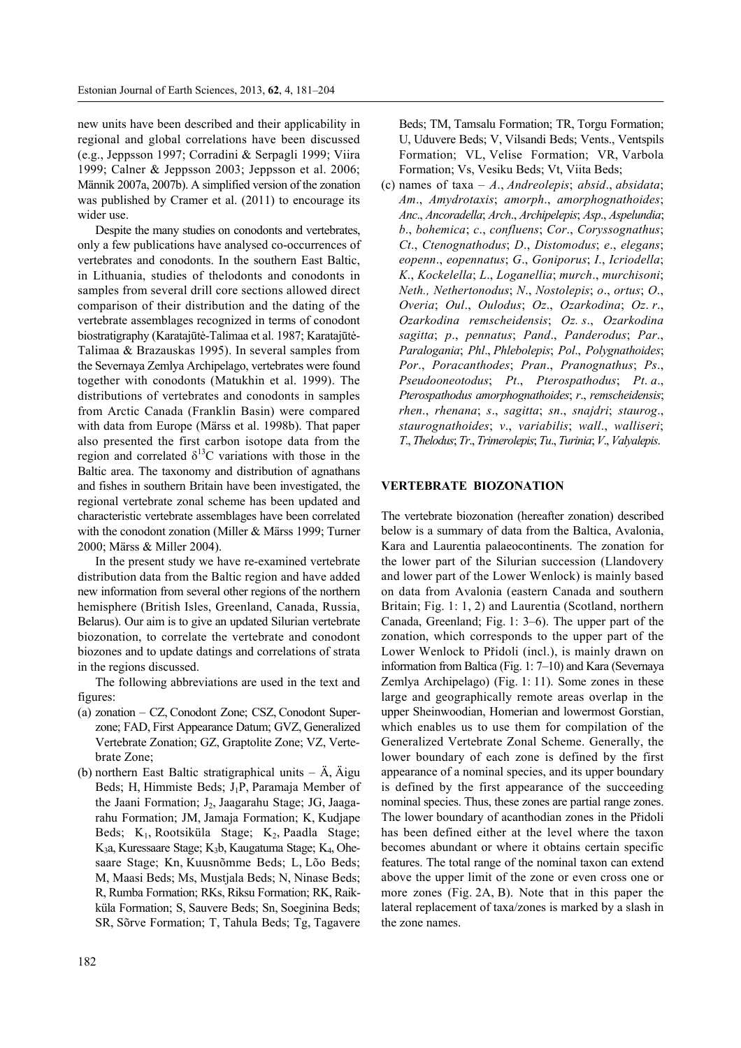new units have been described and their applicability in regional and global correlations have been discussed (e.g., Jeppsson 1997; Corradini & Serpagli 1999; Viira 1999; Calner & Jeppsson 2003; Jeppsson et al. 2006; M‰nnik 2007a, 2007b). A simplified version of the zonation was published by Cramer et al. (2011) to encourage its wider use.

Despite the many studies on conodonts and vertebrates, only a few publications have analysed co-occurrences of vertebrates and conodonts. In the southern East Baltic, in Lithuania, studies of thelodonts and conodonts in samples from several drill core sections allowed direct comparison of their distribution and the dating of the vertebrate assemblages recognized in terms of conodont biostratigraphy (Karatajūtė-Talimaa et al. 1987; Karatajūtė-Talimaa & Brazauskas 1995). In several samples from the Severnaya Zemlya Archipelago, vertebrates were found together with conodonts (Matukhin et al. 1999). The distributions of vertebrates and conodonts in samples from Arctic Canada (Franklin Basin) were compared with data from Europe (Märss et al. 1998b). That paper also presented the first carbon isotope data from the region and correlated  $\delta^{13}$ C variations with those in the Baltic area. The taxonomy and distribution of agnathans and fishes in southern Britain have been investigated, the regional vertebrate zonal scheme has been updated and characteristic vertebrate assemblages have been correlated with the conodont zonation (Miller  $&$  Märss 1999; Turner 2000; Märss & Miller 2004).

In the present study we have re-examined vertebrate distribution data from the Baltic region and have added new information from several other regions of the northern hemisphere (British Isles, Greenland, Canada, Russia, Belarus). Our aim is to give an updated Silurian vertebrate biozonation, to correlate the vertebrate and conodont biozones and to update datings and correlations of strata in the regions discussed.

The following abbreviations are used in the text and figures:

- (a) zonation  $-$  CZ, Conodont Zone; CSZ, Conodont Superzone; FAD, First Appearance Datum; GVZ, Generalized Vertebrate Zonation; GZ, Graptolite Zone; VZ, Vertebrate Zone;
- (b) northern East Baltic stratigraphical units  $-\tilde{A}$ ,  $\tilde{A}$ igu Beds; H, Himmiste Beds; J<sub>1</sub>P, Paramaja Member of the Jaani Formation;  $J_2$ , Jaagarahu Stage; JG, Jaagarahu Formation; JM, Jamaja Formation; K, Kudjape Beds;  $K_1$ , Rootsiküla Stage;  $K_2$ , Paadla Stage; K<sub>3</sub>a, Kuressaare Stage; K<sub>3</sub>b, Kaugatuma Stage; K<sub>4</sub>, Ohesaare Stage; Kn, Kuusnõmme Beds; L, Lõo Beds; M, Maasi Beds; Ms, Mustjala Beds; N, Ninase Beds; R, Rumba Formation; RKs, Riksu Formation; RK, Raikküla Formation: S. Sauvere Beds: Sn. Soeginina Beds: SR, Sõrve Formation; T, Tahula Beds; Tg, Tagavere

Beds; TM, Tamsalu Formation; TR, Torgu Formation; U, Uduvere Beds; V, Vilsandi Beds; Vents., Ventspils Formation; VL, Velise Formation; VR, Varbola Formation; Vs, Vesiku Beds; Vt, Viita Beds;

(c) names of taxa  $-A$ ., *Andreolepis*; *absid.*, *absidata*; *Am*., *Amydrotaxis*; *amorph*., *amorphognathoides*; *Anc*., *Ancoradella*; *Arch*., *Archipelepis*; *Asp*., *Aspelundia*; *b*., *bohemica*; *c*., *confluens*; *Cor*., *Coryssognathus*; *Ct*., *Ctenognathodus*; *D*., *Distomodus*; *e*., *elegans*; *eopenn*., *eopennatus*; *G*., *Goniporus*; *I*., *Icriodella*; *K*., *Kockelella*; *L*., *Loganellia*; *murch*., *murchisoni*; *Neth., Nethertonodus*; *N*., *Nostolepis*; *o*., *ortus*; *O*., *Overia*; *Oul*., *Oulodus*; *Oz*., *Ozarkodina*; *Oz*. *r*., *Ozarkodina remscheidensis*; *Oz. s*., *Ozarkodina sagitta*; *p*., *pennatus*; *Pand*., *Panderodus*; *Par*., *Paralogania*; *Phl*., *Phlebolepis*; *Pol*., *Polygnathoides*; *Por*., *Poracanthodes*; *Pran*., *Pranognathus*; *Ps*., *Pseudooneotodus*; *Pt*., *Pterospathodus*; *Pt*. *a*., *Pterospathodus amorphognathoides*; *r*., *remscheidensis*; *rhen*., *rhenana*; *s*., *sagitta*; *sn*., *snajdri*; *staurog*., *staurognathoides*; *v*., *variabilis*; *wall*., *walliseri*; *T*., *Thelodus*; *Tr*., *Trimerolepis*; *Tu*., *Turinia*; *V*., *Valyalepis*.

# **VERTEBRATE BIOZONATION**

The vertebrate biozonation (hereafter zonation) described below is a summary of data from the Baltica, Avalonia, Kara and Laurentia palaeocontinents. The zonation for the lower part of the Silurian succession (Llandovery and lower part of the Lower Wenlock) is mainly based on data from Avalonia (eastern Canada and southern Britain; Fig. 1: 1, 2) and Laurentia (Scotland, northern Canada, Greenland; Fig. 1:  $3-6$ ). The upper part of the zonation, which corresponds to the upper part of the Lower Wenlock to Přidoli (incl.), is mainly drawn on information from Baltica (Fig. 1:  $7-10$ ) and Kara (Severnaya Zemlya Archipelago) (Fig. 1: 11). Some zones in these large and geographically remote areas overlap in the upper Sheinwoodian, Homerian and lowermost Gorstian, which enables us to use them for compilation of the Generalized Vertebrate Zonal Scheme. Generally, the lower boundary of each zone is defined by the first appearance of a nominal species, and its upper boundary is defined by the first appearance of the succeeding nominal species. Thus, these zones are partial range zones. The lower boundary of acanthodian zones in the Přidoli has been defined either at the level where the taxon becomes abundant or where it obtains certain specific features. The total range of the nominal taxon can extend above the upper limit of the zone or even cross one or more zones (Fig. 2A, B). Note that in this paper the lateral replacement of taxa/zones is marked by a slash in the zone names.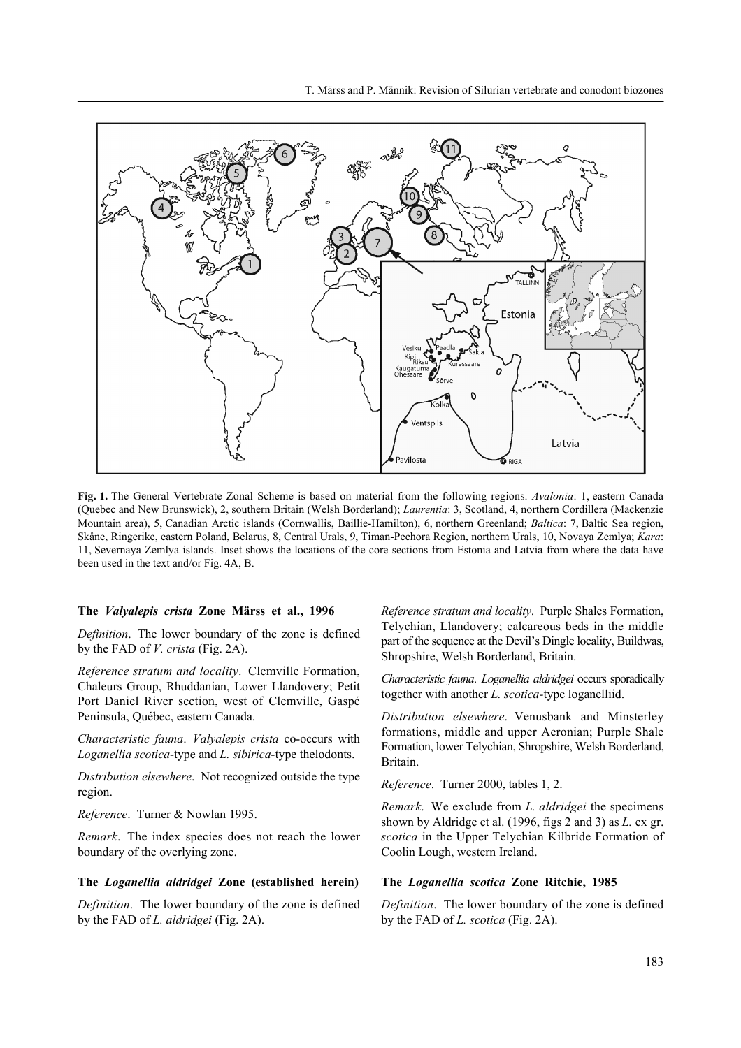

**Fig. 1.** The General Vertebrate Zonal Scheme is based on material from the following regions. *Avalonia*: 1, eastern Canada (Quebec and New Brunswick), 2, southern Britain (Welsh Borderland); *Laurentia*: 3, Scotland, 4, northern Cordillera (Mackenzie Mountain area), 5, Canadian Arctic islands (Cornwallis, Baillie-Hamilton), 6, northern Greenland; *Baltica*: 7, Baltic Sea region, SkÂne, Ringerike, eastern Poland, Belarus, 8, Central Urals, 9, Timan-Pechora Region, northern Urals, 10, Novaya Zemlya; *Kara*: 11, Severnaya Zemlya islands. Inset shows the locations of the core sections from Estonia and Latvia from where the data have been used in the text and/or Fig. 4A, B.

### **The** *Valyalepis crista* **Zone M‰rss et al., 1996**

*Definition*. The lower boundary of the zone is defined by the FAD of *V. crista* (Fig. 2A).

*Reference stratum and locality*. Clemville Formation, Chaleurs Group, Rhuddanian, Lower Llandovery; Petit Port Daniel River section, west of Clemville, GaspÈ Peninsula, QuÈbec, eastern Canada.

*Characteristic fauna*. *Valyalepis crista* co-occurs with *Loganellia scotica*-type and *L. sibirica-*type thelodonts.

*Distribution elsewhere*. Not recognized outside the type region.

*Reference*. Turner & Nowlan 1995.

*Remark*. The index species does not reach the lower boundary of the overlying zone.

#### **The** *Loganellia aldridgei* **Zone (established herein)**

*Definition*. The lower boundary of the zone is defined by the FAD of *L. aldridgei* (Fig. 2A).

*Reference stratum and locality*. Purple Shales Formation, Telychian, Llandovery; calcareous beds in the middle part of the sequence at the Devil's Dingle locality, Buildwas, Shropshire, Welsh Borderland, Britain.

*Characteristic fauna*. *Loganellia aldridgei* occurs sporadically together with another *L. scotica-*type loganelliid.

*Distribution elsewhere*. Venusbank and Minsterley formations, middle and upper Aeronian; Purple Shale Formation, lower Telychian, Shropshire, Welsh Borderland, Britain.

*Reference*. Turner 2000, tables 1, 2.

*Remark*. We exclude from *L. aldridgei* the specimens shown by Aldridge et al. (1996, figs 2 and 3) as *L.* ex gr. *scotica* in the Upper Telychian Kilbride Formation of Coolin Lough, western Ireland.

# **The** *Loganellia scotica* **Zone Ritchie, 1985**

*Definition*. The lower boundary of the zone is defined by the FAD of *L. scotica* (Fig. 2A).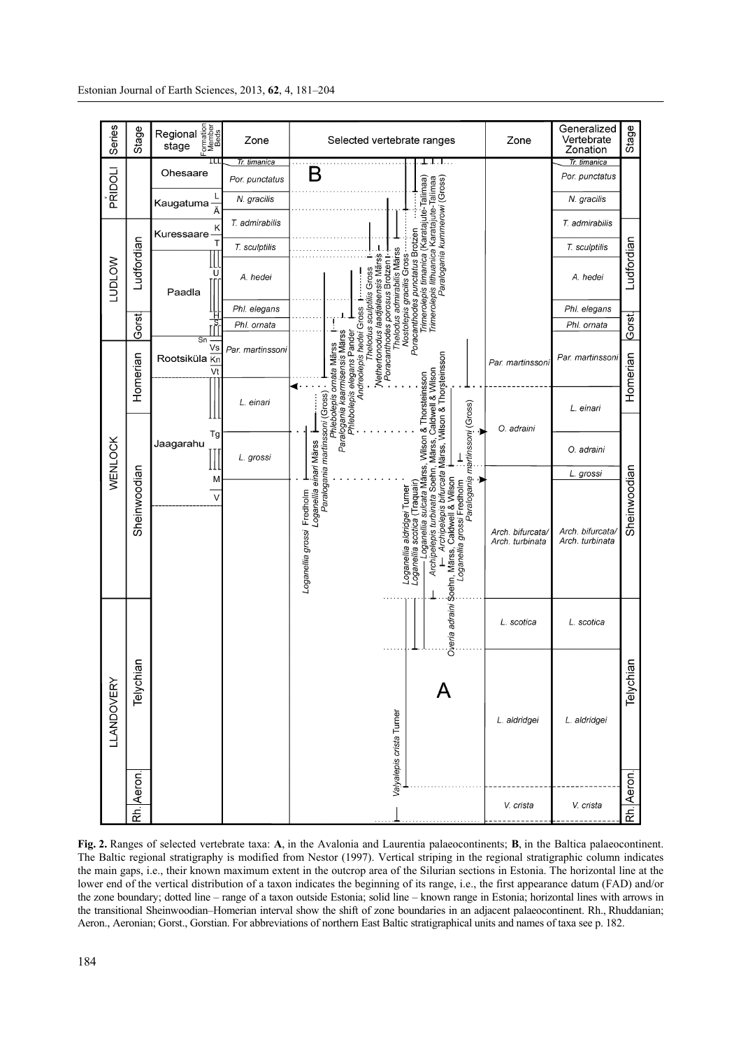| Series            | Stage          | Formation<br>Member<br>Beds<br>Regional<br>stage | Zone                           | Selected vertebrate ranges                                                                                                                                                                                                                           | Zone                                | Generalized<br>Vertebrate<br>Zonation | Stage          |
|-------------------|----------------|--------------------------------------------------|--------------------------------|------------------------------------------------------------------------------------------------------------------------------------------------------------------------------------------------------------------------------------------------------|-------------------------------------|---------------------------------------|----------------|
| PRIDOLI           |                | ш<br>Ohesaare                                    | Tr. timanica<br>Por. punctatus | B                                                                                                                                                                                                                                                    |                                     | Tr. timanica<br>Por. punctatus        |                |
|                   |                | Kaugatuma                                        | N. gracilis                    |                                                                                                                                                                                                                                                      |                                     | N. gracilis                           |                |
|                   |                | Kuressaare                                       | T. admirabilis                 |                                                                                                                                                                                                                                                      |                                     | T. admirabilis                        |                |
|                   |                | т                                                | T. sculptilis                  |                                                                                                                                                                                                                                                      |                                     | T. sculptilis                         |                |
| <b>LUDLOW</b>     | Ludfordian     | Paadla                                           | A. hedei                       | Trimerolepis lithuanica Karatajute-Talimaa<br>Paralogania kummerowi (Gross)<br>Trimerolepis timanica (Karatajute-Talimaa)<br>Poracanthodes punctatus Brotzen<br>Thelodus admirabilis Marss<br>Nostolepis gracilis Gross<br>Thelodus sculptilis Gross |                                     | A. hedei                              | Ludfordian     |
|                   |                |                                                  | Phl. elegans                   |                                                                                                                                                                                                                                                      |                                     | Phl. elegans                          |                |
|                   | Gorst          | Sn                                               | Phl. ornata                    |                                                                                                                                                                                                                                                      |                                     | Phl. ornata                           | Gorst          |
|                   | Homerian       | Vs<br>Rootsiküla Kn<br>Vt                        | Par. martinssoni               | Nethertonodus laadjalaensis Märss<br>Poracanthodes porosus Brotzen <sub>1</sub> -<br>Andreolepis hedei Gross                                                                                                                                         | Par. martinssoni                    | Par. martinssoni                      | Homerian       |
|                   |                |                                                  | L. einari                      | Paralogania kaarmisensis Märss<br>Phlebolepis elegans Pander<br>Phlebolepis ornata Märss<br>Thorsteinsson<br>Paralogania martinssoni (Gross)                                                                                                         |                                     | L. einari                             |                |
|                   |                | Tg<br>Jaagarahu                                  |                                | త                                                                                                                                                                                                                                                    | O. adraini                          |                                       |                |
| <b>WENLOCK</b>    |                |                                                  | Mison<br>L. grossi             |                                                                                                                                                                                                                                                      | O. adraini                          |                                       |                |
|                   |                | м                                                |                                |                                                                                                                                                                                                                                                      |                                     | L. grossi                             |                |
|                   | Sheinwoodian   | V                                                |                                | Paralogania martinssoni (Gross)<br>Loganellia einan Märss<br>Loganellia sulcata Märss<br>Loganellia aldridgei Turner<br>Loganellia scotica (Traquair<br>Loganellia grossi Fredholm                                                                   | Arch. bifurcata/<br>Arch. turbinata | Arch. bifurcata/<br>Arch. turbinata   | Sheinwoodian   |
|                   |                |                                                  |                                |                                                                                                                                                                                                                                                      | L. scotica                          | L. scotica                            |                |
| <b>LLANDOVERY</b> | hian<br>Telych |                                                  |                                | Valyalepis crista Turner                                                                                                                                                                                                                             | L. aldridgei                        | L. aldridgei                          | hian<br>Telych |
|                   | Rh Aeron       |                                                  |                                |                                                                                                                                                                                                                                                      | V. crista                           | V. crista                             | Rh. Aeron      |

**Fig. 2.** Ranges of selected vertebrate taxa: **A**, in the Avalonia and Laurentia palaeocontinents; **B**, in the Baltica palaeocontinent. The Baltic regional stratigraphy is modified from Nestor (1997). Vertical striping in the regional stratigraphic column indicates the main gaps, i.e., their known maximum extent in the outcrop area of the Silurian sections in Estonia. The horizontal line at the lower end of the vertical distribution of a taxon indicates the beginning of its range, i.e., the first appearance datum (FAD) and/or the zone boundary; dotted line – range of a taxon outside Estonia; solid line – known range in Estonia; horizontal lines with arrows in the transitional Sheinwoodian–Homerian interval show the shift of zone boundaries in an adjacent palaeocontinent. Rh., Rhuddanian; Aeron., Aeronian; Gorst., Gorstian. For abbreviations of northern East Baltic stratigraphical units and names of taxa see p. 182.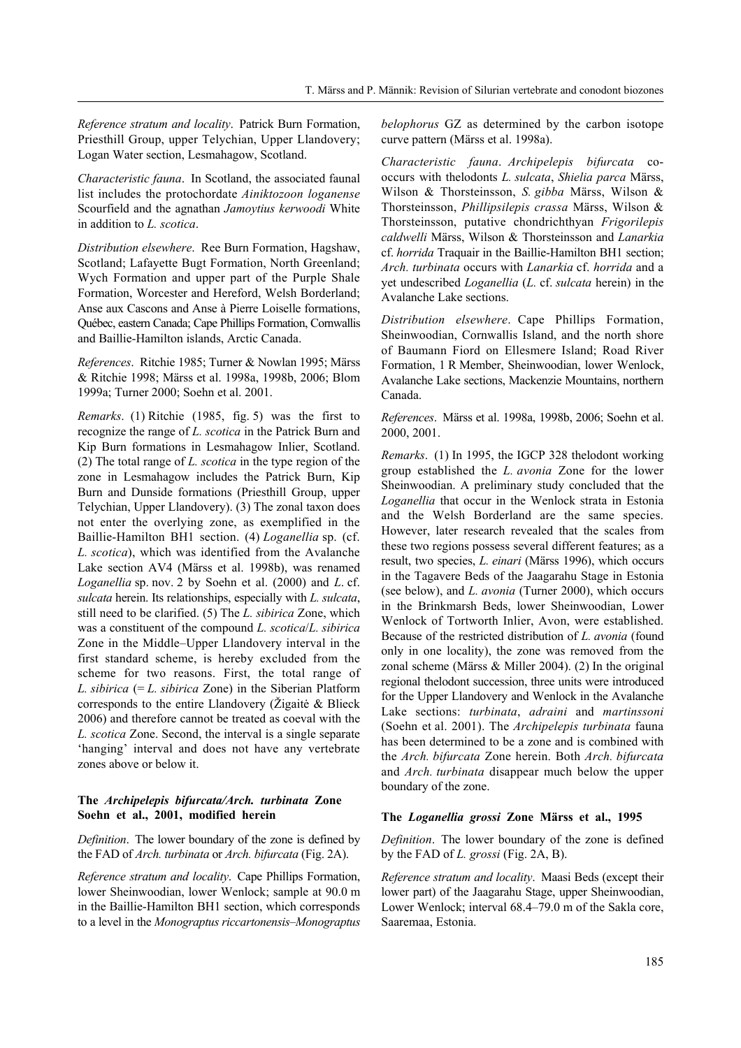*Reference stratum and locality*. Patrick Burn Formation, Priesthill Group, upper Telychian, Upper Llandovery; Logan Water section, Lesmahagow, Scotland.

*Characteristic fauna*. In Scotland, the associated faunal list includes the protochordate *Ainiktozoon loganense* Scourfield and the agnathan *Jamoytius kerwoodi* White in addition to *L. scotica*.

*Distribution elsewhere*. Ree Burn Formation, Hagshaw, Scotland; Lafayette Bugt Formation, North Greenland; Wych Formation and upper part of the Purple Shale Formation, Worcester and Hereford, Welsh Borderland; Anse aux Cascons and Anse à Pierre Loiselle formations, QuÈbec, eastern Canada; Cape Phillips Formation, Cornwallis and Baillie-Hamilton islands, Arctic Canada.

*References*. Ritchie 1985; Turner & Nowlan 1995; M‰rss & Ritchie 1998; M‰rss et al. 1998a, 1998b, 2006; Blom 1999a; Turner 2000; Soehn et al. 2001.

*Remarks*. (1) Ritchie (1985, fig. 5) was the first to recognize the range of *L. scotica* in the Patrick Burn and Kip Burn formations in Lesmahagow Inlier, Scotland. (2) The total range of *L. scotica* in the type region of the zone in Lesmahagow includes the Patrick Burn, Kip Burn and Dunside formations (Priesthill Group, upper Telychian, Upper Llandovery). (3) The zonal taxon does not enter the overlying zone, as exemplified in the Baillie-Hamilton BH1 section. (4) *Loganellia* sp. (cf. *L. scotica*), which was identified from the Avalanche Lake section AV4 (Märss et al. 1998b), was renamed *Loganellia* sp. nov. 2 by Soehn et al. (2000) and *L*. cf. *sulcata* herein. Its relationships, especially with *L. sulcata*, still need to be clarified. (5) The *L. sibirica* Zone, which was a constituent of the compound *L. scotica*/*L. sibirica* Zone in the Middle-Upper Llandovery interval in the first standard scheme, is hereby excluded from the scheme for two reasons. First, the total range of *L. sibirica* (= *L. sibirica* Zone) in the Siberian Platform corresponds to the entire Llandovery ( $\check{Z}$ igaitė & Blieck 2006) and therefore cannot be treated as coeval with the *L. scotica* Zone. Second, the interval is a single separate 'hanging' interval and does not have any vertebrate zones above or below it.

# **The** *Archipelepis bifurcata/Arch. turbinata* **Zone Soehn et al., 2001, modified herein**

*Definition*. The lower boundary of the zone is defined by the FAD of *Arch. turbinata* or *Arch. bifurcata* (Fig. 2A).

*Reference stratum and locality*. Cape Phillips Formation, lower Sheinwoodian, lower Wenlock; sample at 90.0 m in the Baillie-Hamilton BH1 section, which corresponds to a level in the *Monograptus riccartonensis–Monograptus*  *belophorus* GZ as determined by the carbon isotope curve pattern (Märss et al. 1998a).

*Characteristic fauna*. *Archipelepis bifurcata* cooccurs with thelodonts *L. sulcata*, *Shielia parca* Märss, Wilson & Thorsteinsson, *S. gibba* Märss, Wilson & Thorsteinsson, *Phillipsilepis crassa* Märss, Wilson & Thorsteinsson, putative chondrichthyan *Frigorilepis caldwelli* M‰rss, Wilson & Thorsteinsson and *Lanarkia* cf. *horrida* Traquair in the Baillie-Hamilton BH1 section; *Arch. turbinata* occurs with *Lanarkia* cf. *horrida* and a yet undescribed *Loganellia* (*L.* cf. *sulcata* herein) in the Avalanche Lake sections.

*Distribution elsewhere*. Cape Phillips Formation, Sheinwoodian, Cornwallis Island, and the north shore of Baumann Fiord on Ellesmere Island; Road River Formation, 1 R Member, Sheinwoodian, lower Wenlock, Avalanche Lake sections, Mackenzie Mountains, northern Canada.

*References*. M‰rss et al. 1998a, 1998b, 2006; Soehn et al. 2000, 2001.

*Remarks*. (1) In 1995, the IGCP 328 thelodont working group established the *L. avonia* Zone for the lower Sheinwoodian. A preliminary study concluded that the *Loganellia* that occur in the Wenlock strata in Estonia and the Welsh Borderland are the same species. However, later research revealed that the scales from these two regions possess several different features; as a result, two species, *L. einari* (Märss 1996), which occurs in the Tagavere Beds of the Jaagarahu Stage in Estonia (see below), and *L. avonia* (Turner 2000), which occurs in the Brinkmarsh Beds, lower Sheinwoodian, Lower Wenlock of Tortworth Inlier, Avon, were established. Because of the restricted distribution of *L. avonia* (found only in one locality), the zone was removed from the zonal scheme (Märss  $&$  Miller 2004). (2) In the original regional thelodont succession, three units were introduced for the Upper Llandovery and Wenlock in the Avalanche Lake sections: *turbinata*, *adraini* and *martinssoni* (Soehn et al. 2001). The *Archipelepis turbinata* fauna has been determined to be a zone and is combined with the *Arch. bifurcata* Zone herein. Both *Arch. bifurcata* and *Arch. turbinata* disappear much below the upper boundary of the zone.

# **The** *Loganellia grossi* **Zone M‰rss et al., 1995**

*Definition*. The lower boundary of the zone is defined by the FAD of *L. grossi* (Fig. 2A, B).

*Reference stratum and locality*. Maasi Beds (except their lower part) of the Jaagarahu Stage, upper Sheinwoodian, Lower Wenlock; interval 68.4–79.0 m of the Sakla core, Saaremaa, Estonia.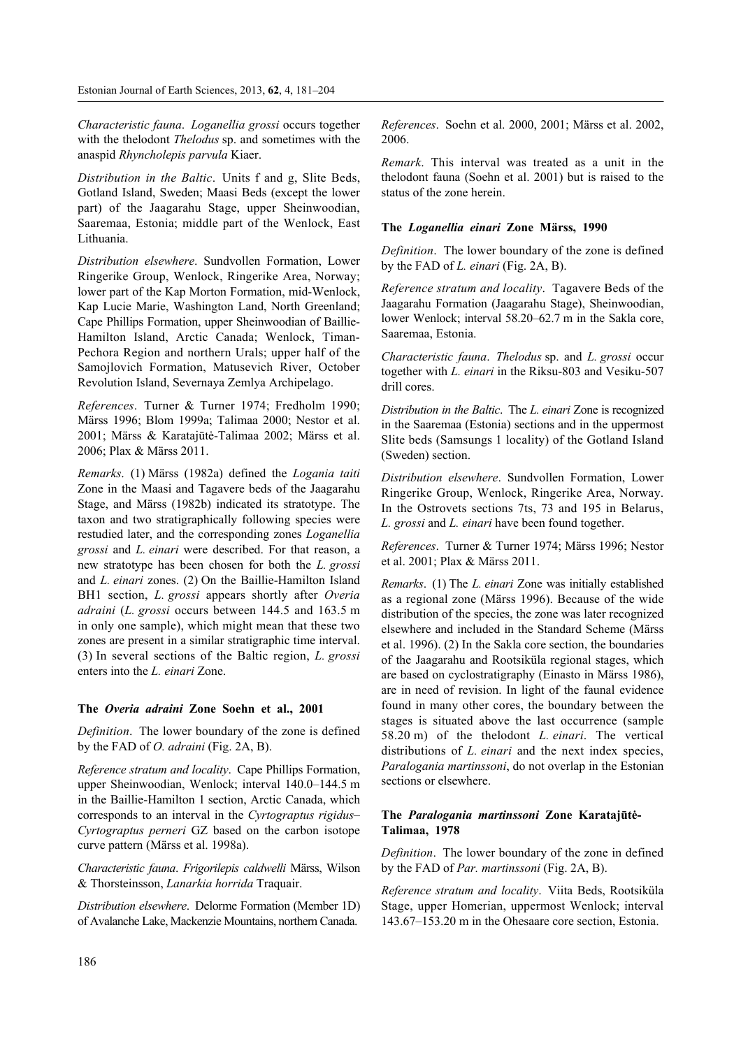*Characteristic fauna*. *Loganellia grossi* occurs together with the thelodont *Thelodus* sp. and sometimes with the anaspid *Rhyncholepis parvula* Kiaer.

*Distribution in the Baltic*. Units f and g, Slite Beds, Gotland Island, Sweden; Maasi Beds (except the lower part) of the Jaagarahu Stage, upper Sheinwoodian, Saaremaa, Estonia; middle part of the Wenlock, East Lithuania.

*Distribution elsewhere*. Sundvollen Formation, Lower Ringerike Group, Wenlock, Ringerike Area, Norway; lower part of the Kap Morton Formation, mid-Wenlock, Kap Lucie Marie, Washington Land, North Greenland; Cape Phillips Formation, upper Sheinwoodian of Baillie-Hamilton Island, Arctic Canada; Wenlock, Timan-Pechora Region and northern Urals; upper half of the Samojlovich Formation, Matusevich River, October Revolution Island, Severnaya Zemlya Archipelago.

*References*. Turner & Turner 1974; Fredholm 1990; M‰rss 1996; Blom 1999a; Talimaa 2000; Nestor et al. 2001; Märss & Karatajūtė-Talimaa 2002; Märss et al. 2006; Plax & Märss 2011.

*Remarks*. (1) M‰rss (1982a) defined the *Logania taiti* Zone in the Maasi and Tagavere beds of the Jaagarahu Stage, and Märss (1982b) indicated its stratotype. The taxon and two stratigraphically following species were restudied later, and the corresponding zones *Loganellia grossi* and *L. einari* were described. For that reason, a new stratotype has been chosen for both the *L. grossi* and *L. einari* zones. (2) On the Baillie-Hamilton Island BH1 section, *L. grossi* appears shortly after *Overia adraini* (*L. grossi* occurs between 144.5 and 163.5 m in only one sample), which might mean that these two zones are present in a similar stratigraphic time interval. (3) In several sections of the Baltic region, *L. grossi* enters into the *L. einari* Zone.

# **The** *Overia adraini* **Zone Soehn et al., 2001**

*Definition*. The lower boundary of the zone is defined by the FAD of *O. adraini* (Fig. 2A, B).

*Reference stratum and locality*. Cape Phillips Formation, upper Sheinwoodian, Wenlock; interval 140.0-144.5 m in the Baillie-Hamilton 1 section, Arctic Canada, which corresponds to an interval in the *Cyrtograptus rigidus*-*Cyrtograptus perneri* GZ based on the carbon isotope curve pattern (Märss et al. 1998a).

*Characteristic fauna*. *Frigorilepis caldwelli* M‰rss, Wilson & Thorsteinsson, *Lanarkia horrida* Traquair.

*Distribution elsewhere*. Delorme Formation (Member 1D) of Avalanche Lake, Mackenzie Mountains, northern Canada.

*References.* Soehn et al. 2000, 2001; Märss et al. 2002, 2006.

*Remark*. This interval was treated as a unit in the thelodont fauna (Soehn et al. 2001) but is raised to the status of the zone herein.

# **The** *Loganellia einari* **Zone M‰rss, 1990**

*Definition*. The lower boundary of the zone is defined by the FAD of *L. einari* (Fig. 2A, B).

*Reference stratum and locality*. Tagavere Beds of the Jaagarahu Formation (Jaagarahu Stage), Sheinwoodian, lower Wenlock; interval 58.20-62.7 m in the Sakla core, Saaremaa, Estonia.

*Characteristic fauna*. *Thelodus* sp. and *L. grossi* occur together with *L. einari* in the Riksu-803 and Vesiku-507 drill cores.

*Distribution in the Baltic*. The *L. einari* Zone is recognized in the Saaremaa (Estonia) sections and in the uppermost Slite beds (Samsungs 1 locality) of the Gotland Island (Sweden) section.

*Distribution elsewhere*. Sundvollen Formation, Lower Ringerike Group, Wenlock, Ringerike Area, Norway. In the Ostrovets sections 7ts, 73 and 195 in Belarus, *L. grossi* and *L. einari* have been found together.

*References*. Turner & Turner 1974; Märss 1996; Nestor et al. 2001; Plax & Märss 2011.

*Remarks*. (1) The *L. einari* Zone was initially established as a regional zone (Märss 1996). Because of the wide distribution of the species, the zone was later recognized elsewhere and included in the Standard Scheme (Märss et al. 1996). (2) In the Sakla core section, the boundaries of the Jaagarahu and Rootsiküla regional stages, which are based on cyclostratigraphy (Einasto in Märss 1986), are in need of revision. In light of the faunal evidence found in many other cores, the boundary between the stages is situated above the last occurrence (sample 58.20 m) of the thelodont *L. einari*. The vertical distributions of *L. einari* and the next index species, *Paralogania martinssoni*, do not overlap in the Estonian sections or elsewhere.

# **The** *Paralogania martinssoni* **Zone Karatajūtė-Talimaa, 1978**

*Definition*. The lower boundary of the zone in defined by the FAD of *Par. martinssoni* (Fig. 2A, B).

*Reference stratum and locality*. Viita Beds, Rootsiküla Stage, upper Homerian, uppermost Wenlock; interval  $143.67 - 153.20$  m in the Ohesaare core section, Estonia.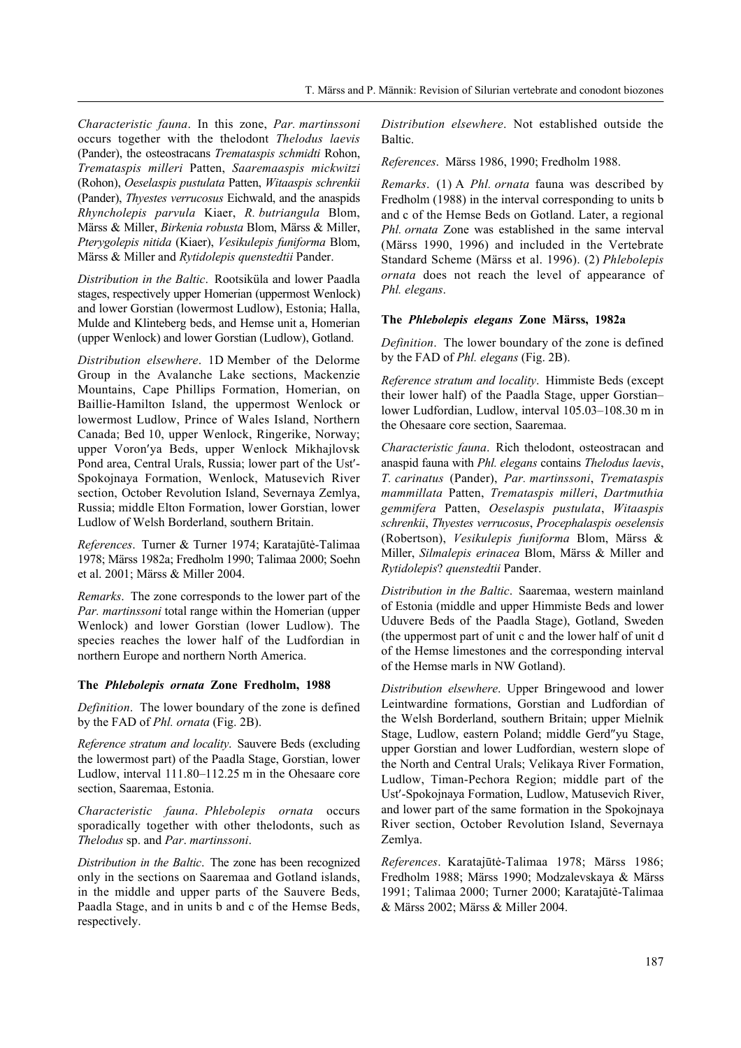*Characteristic fauna*. In this zone, *Par. martinssoni* occurs together with the thelodont *Thelodus laevis* (Pander), the osteostracans *Tremataspis schmidti* Rohon, *Tremataspis milleri* Patten, *Saaremaaspis mickwitzi* (Rohon), *Oeselaspis pustulata* Patten, *Witaaspis schrenkii* (Pander), *Thyestes verrucosus* Eichwald, and the anaspids *Rhyncholepis parvula* Kiaer, *R. butriangula* Blom, Märss & Miller, *Birkenia robusta* Blom, Märss & Miller, *Pterygolepis nitida* (Kiaer), *Vesikulepis funiforma* Blom, M‰rss & Miller and *Rytidolepis quenstedtii* Pander.

*Distribution in the Baltic.* Rootsiküla and lower Paadla stages, respectively upper Homerian (uppermost Wenlock) and lower Gorstian (lowermost Ludlow), Estonia; Halla, Mulde and Klinteberg beds, and Hemse unit a, Homerian (upper Wenlock) and lower Gorstian (Ludlow), Gotland.

*Distribution elsewhere*. 1D Member of the Delorme Group in the Avalanche Lake sections, Mackenzie Mountains, Cape Phillips Formation, Homerian, on Baillie-Hamilton Island, the uppermost Wenlock or lowermost Ludlow, Prince of Wales Island, Northern Canada; Bed 10, upper Wenlock, Ringerike, Norway; upper Voron′ya Beds, upper Wenlock Mikhajlovsk Pond area, Central Urals, Russia; lower part of the Ust′- Spokojnaya Formation, Wenlock, Matusevich River section, October Revolution Island, Severnaya Zemlya, Russia; middle Elton Formation, lower Gorstian, lower Ludlow of Welsh Borderland, southern Britain.

*References*. Turner & Turner 1974; Karatajūtė-Talimaa 1978; M‰rss 1982a; Fredholm 1990; Talimaa 2000; Soehn et al. 2001; Märss & Miller 2004.

*Remarks*. The zone corresponds to the lower part of the *Par. martinssoni* total range within the Homerian (upper Wenlock) and lower Gorstian (lower Ludlow). The species reaches the lower half of the Ludfordian in northern Europe and northern North America.

### **The** *Phlebolepis ornata* **Zone Fredholm, 1988**

*Definition*. The lower boundary of the zone is defined by the FAD of *Phl. ornata* (Fig. 2B).

*Reference stratum and locality*. Sauvere Beds (excluding the lowermost part) of the Paadla Stage, Gorstian, lower Ludlow, interval  $111.80 - 112.25$  m in the Ohesaare core section, Saaremaa, Estonia.

*Characteristic fauna*. *Phlebolepis ornata* occurs sporadically together with other thelodonts, such as *Thelodus* sp. and *Par*. *martinssoni*.

*Distribution in the Baltic*. The zone has been recognized only in the sections on Saaremaa and Gotland islands, in the middle and upper parts of the Sauvere Beds, Paadla Stage, and in units b and c of the Hemse Beds, respectively.

*Distribution elsewhere*. Not established outside the Baltic.

*References*. M‰rss 1986, 1990; Fredholm 1988.

*Remarks*. (1) A *Phl. ornata* fauna was described by Fredholm (1988) in the interval corresponding to units b and c of the Hemse Beds on Gotland. Later, a regional *Phl. ornata* Zone was established in the same interval (Märss 1990, 1996) and included in the Vertebrate Standard Scheme (Märss et al. 1996). (2) *Phlebolepis ornata* does not reach the level of appearance of *Phl. elegans*.

# **The** *Phlebolepis elegans* **Zone M‰rss, 1982a**

*Definition*. The lower boundary of the zone is defined by the FAD of *Phl. elegans* (Fig. 2B).

*Reference stratum and locality*. Himmiste Beds (except their lower half) of the Paadla Stage, upper Gorstian– lower Ludfordian, Ludlow, interval 105.03-108.30 m in the Ohesaare core section, Saaremaa.

*Characteristic fauna*. Rich thelodont, osteostracan and anaspid fauna with *Phl. elegans* contains *Thelodus laevis*, *T. carinatus* (Pander), *Par. martinssoni*, *Tremataspis mammillata* Patten, *Tremataspis milleri*, *Dartmuthia gemmifera* Patten, *Oeselaspis pustulata*, *Witaaspis schrenkii*, *Thyestes verrucosus*, *Procephalaspis oeselensis* (Robertson), Vesikulepis funiforma Blom, Märss & Miller, *Silmalepis erinacea* Blom, Märss & Miller and *Rytidolepis*? *quenstedtii* Pander.

*Distribution in the Baltic*. Saaremaa, western mainland of Estonia (middle and upper Himmiste Beds and lower Uduvere Beds of the Paadla Stage), Gotland, Sweden (the uppermost part of unit c and the lower half of unit d of the Hemse limestones and the corresponding interval of the Hemse marls in NW Gotland).

*Distribution elsewhere*. Upper Bringewood and lower Leintwardine formations, Gorstian and Ludfordian of the Welsh Borderland, southern Britain; upper Mielnik Stage, Ludlow, eastern Poland; middle Gerd″yu Stage, upper Gorstian and lower Ludfordian, western slope of the North and Central Urals; Velikaya River Formation, Ludlow, Timan-Pechora Region; middle part of the Ust′-Spokojnaya Formation, Ludlow, Matusevich River, and lower part of the same formation in the Spokojnaya River section, October Revolution Island, Severnaya Zemlya.

*References*. Karatajūtė-Talimaa 1978; Märss 1986; Fredholm 1988; Märss 1990; Modzalevskaya & Märss 1991; Talimaa 2000; Turner 2000; Karatajūtė-Talimaa & M‰rss 2002; M‰rss & Miller 2004.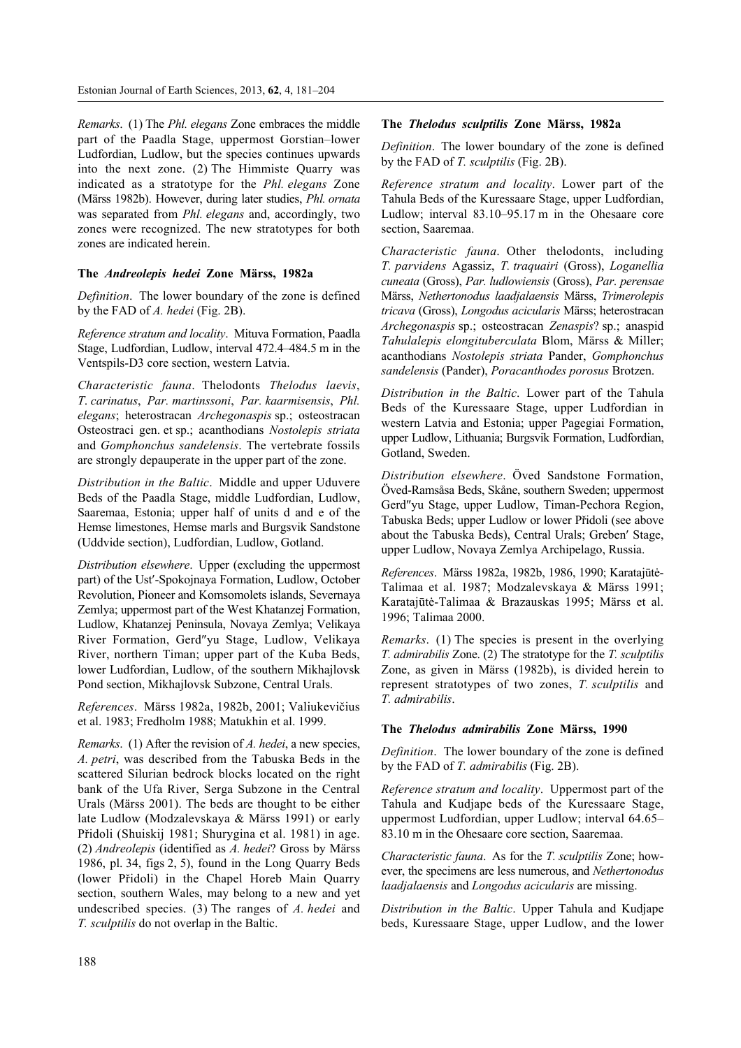*Remarks*. (1) The *Phl. elegans* Zone embraces the middle part of the Paadla Stage, uppermost Gorstian-lower Ludfordian, Ludlow, but the species continues upwards into the next zone. (2) The Himmiste Quarry was indicated as a stratotype for the *Phl. elegans* Zone (M‰rss 1982b). However, during later studies, *Phl. ornata* was separated from *Phl. elegans* and, accordingly, two zones were recognized. The new stratotypes for both zones are indicated herein.

# **The** *Andreolepis hedei* **Zone M‰rss, 1982a**

*Definition*. The lower boundary of the zone is defined by the FAD of *A. hedei* (Fig. 2B).

*Reference stratum and locality*. Mituva Formation, Paadla Stage, Ludfordian, Ludlow, interval 472.4–484.5 m in the Ventspils-D3 core section, western Latvia.

*Characteristic fauna*. Thelodonts *Thelodus laevis*, *T*. *carinatus*, *Par. martinssoni*, *Par. kaarmisensis*, *Phl. elegans*; heterostracan *Archegonaspis* sp.; osteostracan Osteostraci gen. et sp.; acanthodians *Nostolepis striata* and *Gomphonchus sandelensis*. The vertebrate fossils are strongly depauperate in the upper part of the zone.

*Distribution in the Baltic*. Middle and upper Uduvere Beds of the Paadla Stage, middle Ludfordian, Ludlow, Saaremaa, Estonia; upper half of units d and e of the Hemse limestones, Hemse marls and Burgsvik Sandstone (Uddvide section), Ludfordian, Ludlow, Gotland.

*Distribution elsewhere*. Upper (excluding the uppermost part) of the Ust′-Spokojnaya Formation, Ludlow, October Revolution, Pioneer and Komsomolets islands, Severnaya Zemlya; uppermost part of the West Khatanzej Formation, Ludlow, Khatanzej Peninsula, Novaya Zemlya; Velikaya River Formation, Gerd″yu Stage, Ludlow, Velikaya River, northern Timan; upper part of the Kuba Beds, lower Ludfordian, Ludlow, of the southern Mikhajlovsk Pond section, Mikhajlovsk Subzone, Central Urals.

*References*. M‰rss 1982a, 1982b, 2001; Valiukevičius et al. 1983; Fredholm 1988; Matukhin et al. 1999.

*Remarks*. (1) After the revision of *A. hedei*, a new species, *A. petri*, was described from the Tabuska Beds in the scattered Silurian bedrock blocks located on the right bank of the Ufa River, Serga Subzone in the Central Urals (Märss 2001). The beds are thought to be either late Ludlow (Modzalevskaya & Märss 1991) or early Přidoli (Shuiskij 1981; Shurygina et al. 1981) in age. (2) *Andreolepis* (identified as *A. hedei*? Gross by M‰rss 1986, pl. 34, figs 2, 5), found in the Long Quarry Beds (lower Přidoli) in the Chapel Horeb Main Quarry section, southern Wales, may belong to a new and yet undescribed species. (3) The ranges of *A. hedei* and *T. sculptilis* do not overlap in the Baltic.

# **The** *Thelodus sculptilis* **Zone M‰rss, 1982a**

*Definition*. The lower boundary of the zone is defined by the FAD of *T. sculptilis* (Fig. 2B).

*Reference stratum and locality*. Lower part of the Tahula Beds of the Kuressaare Stage, upper Ludfordian, Ludlow; interval 83.10-95.17 m in the Ohesaare core section, Saaremaa.

*Characteristic fauna*. Other thelodonts, including *T. parvidens* Agassiz, *T. traquairi* (Gross), *Loganellia cuneata* (Gross), *Par. ludlowiensis* (Gross), *Par*. *perensae* M‰rss, *Nethertonodus laadjalaensis* M‰rss, *Trimerolepis tricava* (Gross), *Longodus acicularis* M‰rss; heterostracan *Archegonaspis* sp.; osteostracan *Zenaspis*? sp.; anaspid *Tahulalepis elongituberculata* Blom, M‰rss & Miller; acanthodians *Nostolepis striata* Pander, *Gomphonchus sandelensis* (Pander), *Poracanthodes porosus* Brotzen.

*Distribution in the Baltic*. Lower part of the Tahula Beds of the Kuressaare Stage, upper Ludfordian in western Latvia and Estonia; upper Pagegiai Formation, upper Ludlow, Lithuania; Burgsvik Formation, Ludfordian, Gotland, Sweden.

*Distribution elsewhere.* Öved Sandstone Formation, Öved-Ramsåsa Beds, Skåne, southern Sweden; uppermost Gerd″yu Stage, upper Ludlow, Timan-Pechora Region, Tabuska Beds; upper Ludlow or lower Přidoli (see above about the Tabuska Beds), Central Urals; Greben′ Stage, upper Ludlow, Novaya Zemlya Archipelago, Russia.

*References*. M‰rss 1982a, 1982b, 1986, 1990; Karatajūtė-Talimaa et al. 1987; Modzalevskaya & Märss 1991; Karatajūtė-Talimaa & Brazauskas 1995; Märss et al. 1996; Talimaa 2000.

*Remarks*. (1) The species is present in the overlying *T. admirabilis* Zone. (2) The stratotype for the *T. sculptilis* Zone, as given in Märss (1982b), is divided herein to represent stratotypes of two zones, *T. sculptilis* and *T. admirabilis*.

# **The** *Thelodus admirabilis* **Zone Märss, 1990**

*Definition*. The lower boundary of the zone is defined by the FAD of *T. admirabilis* (Fig. 2B).

*Reference stratum and locality*. Uppermost part of the Tahula and Kudjape beds of the Kuressaare Stage, uppermost Ludfordian, upper Ludlow; interval 64.65-83.10 m in the Ohesaare core section, Saaremaa.

*Characteristic fauna*. As for the *T. sculptilis* Zone; however, the specimens are less numerous, and *Nethertonodus laadjalaensis* and *Longodus acicularis* are missing.

*Distribution in the Baltic*. Upper Tahula and Kudjape beds, Kuressaare Stage, upper Ludlow, and the lower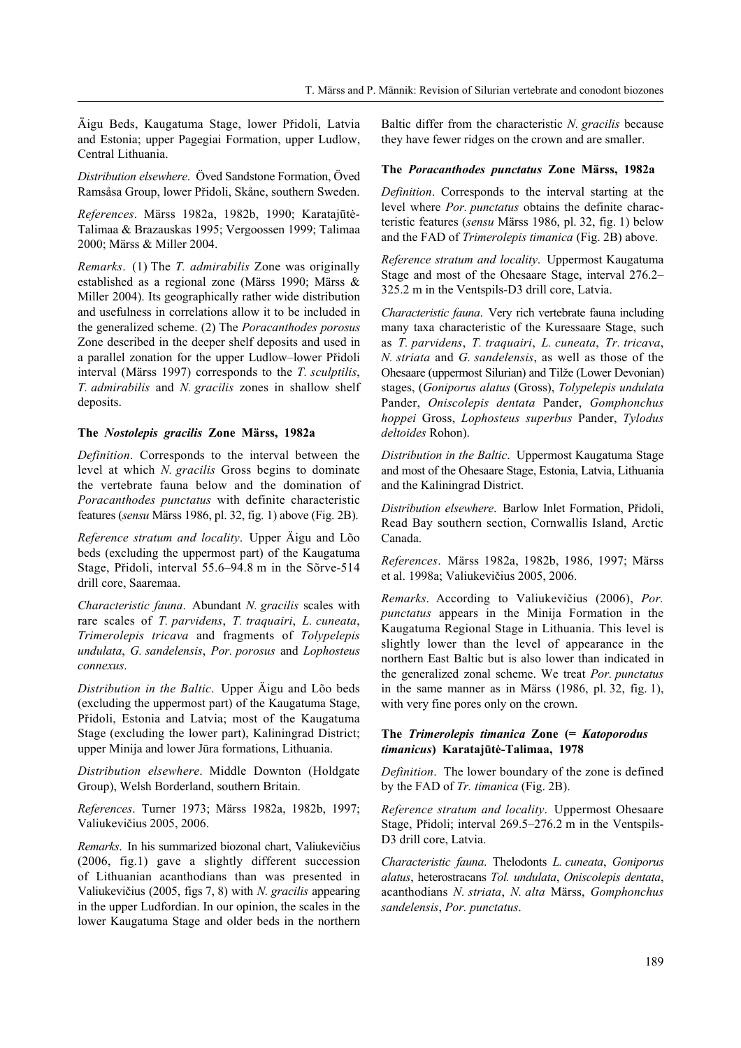ƒigu Beds, Kaugatuma Stage, lower Přidoli, Latvia and Estonia; upper Pagegiai Formation, upper Ludlow, Central Lithuania.

*Distribution elsewhere.* Öved Sandstone Formation, Öved RamsÂsa Group, lower Přidoli, SkÂne, southern Sweden.

*References*. M‰rss 1982a, 1982b, 1990; Karatajūtė-Talimaa & Brazauskas 1995; Vergoossen 1999; Talimaa 2000; Märss & Miller 2004.

*Remarks*. (1) The *T. admirabilis* Zone was originally established as a regional zone (Märss 1990; Märss  $\&$ Miller 2004). Its geographically rather wide distribution and usefulness in correlations allow it to be included in the generalized scheme. (2) The *Poracanthodes porosus* Zone described in the deeper shelf deposits and used in a parallel zonation for the upper Ludlow-lower Přidoli interval (Märss 1997) corresponds to the *T. sculptilis*, *T. admirabilis* and *N. gracilis* zones in shallow shelf deposits.

### **The** *Nostolepis gracilis* **Zone M‰rss, 1982a**

*Definition*. Corresponds to the interval between the level at which *N. gracilis* Gross begins to dominate the vertebrate fauna below and the domination of *Poracanthodes punctatus* with definite characteristic features (*sensu* Märss 1986, pl. 32, fig. 1) above (Fig. 2B).

*Reference stratum and locality*. Upper Äigu and Lõo beds (excluding the uppermost part) of the Kaugatuma Stage, Přidoli, interval 55.6–94.8 m in the Sõrve-514 drill core, Saaremaa.

*Characteristic fauna*. Abundant *N. gracilis* scales with rare scales of *T. parvidens*, *T. traquairi*, *L. cuneata*, *Trimerolepis tricava* and fragments of *Tolypelepis undulata*, *G. sandelensis*, *Por. porosus* and *Lophosteus connexus*.

*Distribution in the Baltic.* Upper Äigu and Lõo beds (excluding the uppermost part) of the Kaugatuma Stage, Přidoli, Estonia and Latvia; most of the Kaugatuma Stage (excluding the lower part), Kaliningrad District; upper Minija and lower Jūra formations, Lithuania.

*Distribution elsewhere*. Middle Downton (Holdgate Group), Welsh Borderland, southern Britain.

*References*. Turner 1973; M‰rss 1982a, 1982b, 1997; Valiukevičius 2005, 2006.

*Remarks*. In his summarized biozonal chart, Valiukevičius (2006, fig.1) gave a slightly different succession of Lithuanian acanthodians than was presented in Valiukevičius (2005, figs 7, 8) with *N. gracilis* appearing in the upper Ludfordian. In our opinion, the scales in the lower Kaugatuma Stage and older beds in the northern

Baltic differ from the characteristic *N. gracilis* because they have fewer ridges on the crown and are smaller.

### **The** *Poracanthodes punctatus* **Zone M‰rss, 1982a**

*Definition*. Corresponds to the interval starting at the level where *Por. punctatus* obtains the definite characteristic features (*sensu* Märss 1986, pl. 32, fig. 1) below and the FAD of *Trimerolepis timanica* (Fig. 2B) above.

*Reference stratum and locality*. Uppermost Kaugatuma Stage and most of the Ohesaare Stage, interval 276.2– 325.2 m in the Ventspils-D3 drill core, Latvia.

*Characteristic fauna*. Very rich vertebrate fauna including many taxa characteristic of the Kuressaare Stage, such as *T. parvidens*, *T. traquairi*, *L. cuneata*, *Tr. tricava*, *N. striata* and *G. sandelensis*, as well as those of the Ohesaare (uppermost Silurian) and Tilže (Lower Devonian) stages, (*Goniporus alatus* (Gross), *Tolypelepis undulata* Pander, *Oniscolepis dentata* Pander, *Gomphonchus hoppei* Gross, *Lophosteus superbus* Pander, *Tylodus deltoides* Rohon).

*Distribution in the Baltic*. Uppermost Kaugatuma Stage and most of the Ohesaare Stage, Estonia, Latvia, Lithuania and the Kaliningrad District.

*Distribution elsewhere*. Barlow Inlet Formation, Přidoli, Read Bay southern section, Cornwallis Island, Arctic Canada.

*References*. M‰rss 1982a, 1982b, 1986, 1997; M‰rss et al. 1998a; Valiukevičius 2005, 2006.

*Remarks*. According to Valiukevičius (2006), *Por. punctatus* appears in the Minija Formation in the Kaugatuma Regional Stage in Lithuania. This level is slightly lower than the level of appearance in the northern East Baltic but is also lower than indicated in the generalized zonal scheme. We treat *Por. punctatus* in the same manner as in Märss  $(1986, p1. 32, fig. 1)$ , with very fine pores only on the crown.

# **The** *Trimerolepis timanica* **Zone (=** *Katoporodus timanicus***) Karatajūtė-Talimaa, 1978**

*Definition*. The lower boundary of the zone is defined by the FAD of *Tr. timanica* (Fig. 2B).

*Reference stratum and locality*. Uppermost Ohesaare Stage, Přidoli; interval  $269.5-276.2$  m in the Ventspils-D3 drill core, Latvia.

*Characteristic fauna*. Thelodonts *L. cuneata*, *Goniporus alatus*, heterostracans *Tol. undulata*, *Oniscolepis dentata*, acanthodians *N. striata*, *N. alta* M‰rss, *Gomphonchus sandelensis*, *Por. punctatus*.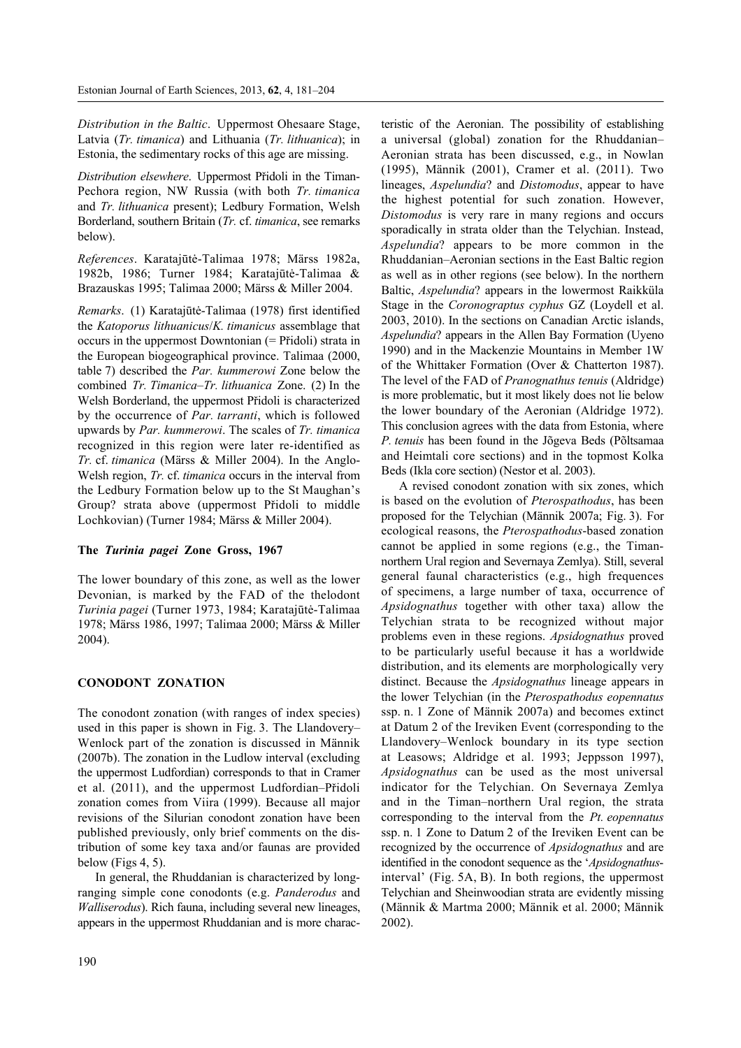*Distribution in the Baltic*. Uppermost Ohesaare Stage, Latvia (*Tr. timanica*) and Lithuania (*Tr. lithuanica*); in Estonia, the sedimentary rocks of this age are missing.

*Distribution elsewhere*. Uppermost Přidoli in the Timan-Pechora region, NW Russia (with both *Tr. timanica* and *Tr. lithuanica* present); Ledbury Formation, Welsh Borderland, southern Britain (*Tr.* cf. *timanica*, see remarks below).

*References*. Karatajūtė-Talimaa 1978; M‰rss 1982a, 1982b, 1986; Turner 1984; Karatajūtė-Talimaa & Brazauskas 1995; Talimaa 2000; Märss & Miller 2004.

*Remarks*. (1) Karatajūtė-Talimaa (1978) first identified the *Katoporus lithuanicus*/*K. timanicus* assemblage that occurs in the uppermost Downtonian (= Přidoli) strata in the European biogeographical province. Talimaa (2000, table 7) described the *Par. kummerowi* Zone below the combined *Tr. Timanica–Tr. lithuanica* Zone. (2) In the Welsh Borderland, the uppermost Přidoli is characterized by the occurrence of *Par. tarranti*, which is followed upwards by *Par. kummerowi*. The scales of *Tr. timanica* recognized in this region were later re-identified as *Tr.* cf. *timanica* (Märss & Miller 2004). In the Anglo-Welsh region, *Tr.* cf. *timanica* occurs in the interval from the Ledbury Formation below up to the St Maughan's Group? strata above (uppermost Přidoli to middle Lochkovian) (Turner 1984; Märss & Miller 2004).

# **The** *Turinia pagei* **Zone Gross, 1967**

The lower boundary of this zone, as well as the lower Devonian, is marked by the FAD of the thelodont *Turinia pagei* (Turner 1973, 1984; Karatajūtė-Talimaa 1978; Märss 1986, 1997; Talimaa 2000; Märss & Miller 2004).

# **CONODONT ZONATION**

The conodont zonation (with ranges of index species) used in this paper is shown in Fig. 3. The Llandovery-Wenlock part of the zonation is discussed in Männik (2007b). The zonation in the Ludlow interval (excluding the uppermost Ludfordian) corresponds to that in Cramer et al.  $(2011)$ , and the uppermost Ludfordian–Přidoli zonation comes from Viira (1999). Because all major revisions of the Silurian conodont zonation have been published previously, only brief comments on the distribution of some key taxa and/or faunas are provided below (Figs 4, 5).

In general, the Rhuddanian is characterized by longranging simple cone conodonts (e.g. *Panderodus* and *Walliserodus*). Rich fauna, including several new lineages, appears in the uppermost Rhuddanian and is more characteristic of the Aeronian. The possibility of establishing a universal (global) zonation for the Rhuddanian– Aeronian strata has been discussed, e.g., in Nowlan (1995), M‰nnik (2001), Cramer et al. (2011). Two lineages, *Aspelundia*? and *Distomodus*, appear to have the highest potential for such zonation. However, *Distomodus* is very rare in many regions and occurs sporadically in strata older than the Telychian. Instead, *Aspelundia*? appears to be more common in the Rhuddanian–Aeronian sections in the East Baltic region as well as in other regions (see below). In the northern Baltic, *Aspelundia*? appears in the lowermost Raikküla Stage in the *Coronograptus cyphus* GZ (Loydell et al. 2003, 2010). In the sections on Canadian Arctic islands, *Aspelundia*? appears in the Allen Bay Formation (Uyeno 1990) and in the Mackenzie Mountains in Member 1W of the Whittaker Formation (Over & Chatterton 1987). The level of the FAD of *Pranognathus tenuis* (Aldridge) is more problematic, but it most likely does not lie below the lower boundary of the Aeronian (Aldridge 1972). This conclusion agrees with the data from Estonia, where *P. tenuis* has been found in the Jõgeva Beds (Põltsamaa and Heimtali core sections) and in the topmost Kolka Beds (Ikla core section) (Nestor et al. 2003).

A revised conodont zonation with six zones, which is based on the evolution of *Pterospathodus*, has been proposed for the Telychian (Männik 2007a; Fig. 3). For ecological reasons, the *Pterospathodus*-based zonation cannot be applied in some regions (e.g., the Timannorthern Ural region and Severnaya Zemlya). Still, several general faunal characteristics (e.g., high frequences of specimens, a large number of taxa, occurrence of *Apsidognathus* together with other taxa) allow the Telychian strata to be recognized without major problems even in these regions. *Apsidognathus* proved to be particularly useful because it has a worldwide distribution, and its elements are morphologically very distinct. Because the *Apsidognathus* lineage appears in the lower Telychian (in the *Pterospathodus eopennatus* ssp. n. 1 Zone of Männik 2007a) and becomes extinct at Datum 2 of the Ireviken Event (corresponding to the Llandovery-Wenlock boundary in its type section at Leasows; Aldridge et al. 1993; Jeppsson 1997), *Apsidognathus* can be used as the most universal indicator for the Telychian. On Severnaya Zemlya and in the Timan-northern Ural region, the strata corresponding to the interval from the *Pt. eopennatus* ssp. n. 1 Zone to Datum 2 of the Ireviken Event can be recognized by the occurrence of *Apsidognathus* and are identified in the conodont sequence as the 'Apsidognathusinterval' (Fig. 5A, B). In both regions, the uppermost Telychian and Sheinwoodian strata are evidently missing (Männik & Martma 2000; Männik et al. 2000; Männik 2002).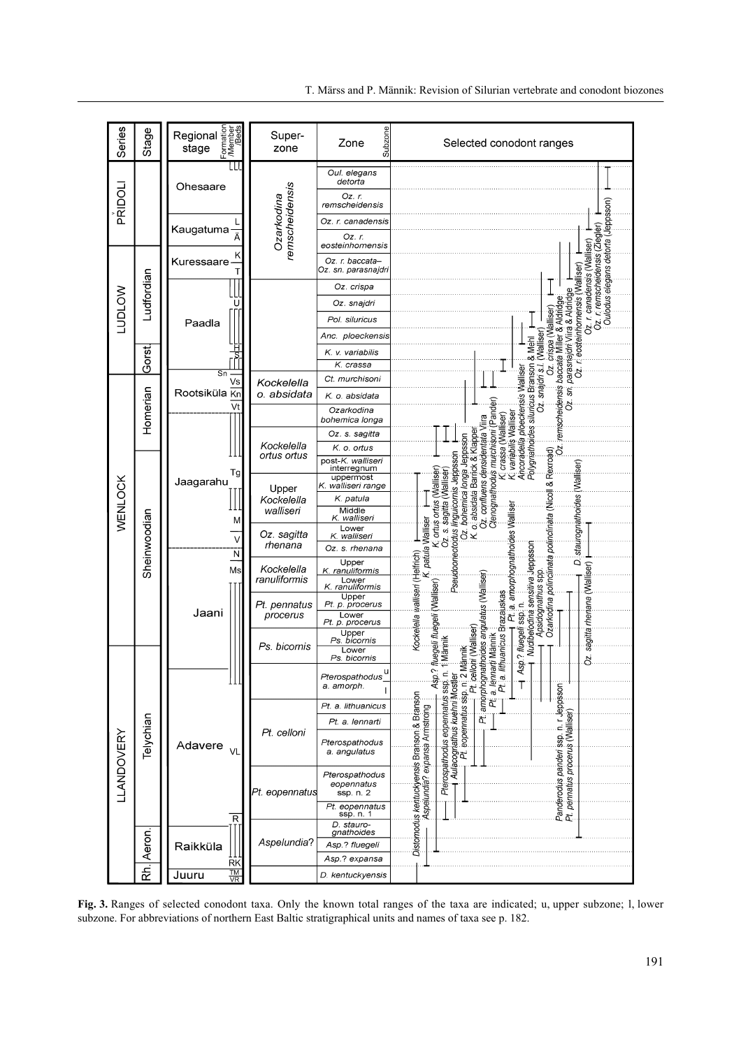| <b>Series</b>     | Stage                       | Formation<br>Member<br>/Beds<br>Regional<br>stage | Super-<br>zone               | Subzone<br>Zone                                                                                                                                                                                 | Selected conodont ranges                                                                                                                                                                                                              |
|-------------------|-----------------------------|---------------------------------------------------|------------------------------|-------------------------------------------------------------------------------------------------------------------------------------------------------------------------------------------------|---------------------------------------------------------------------------------------------------------------------------------------------------------------------------------------------------------------------------------------|
|                   |                             | $\perp$<br>Ohesaare                               |                              | Oul. elegans<br>detorta<br>Oz. r.                                                                                                                                                               |                                                                                                                                                                                                                                       |
| PRIDOLI           |                             |                                                   |                              | remscheidensis<br>Oz. r. canadensis                                                                                                                                                             |                                                                                                                                                                                                                                       |
|                   |                             | Kaugatuma                                         | remscheidensis<br>Ozarkodina | Oz. r.<br>eosteinhornensis                                                                                                                                                                      | iser                                                                                                                                                                                                                                  |
|                   |                             | Kuressaare                                        |                              | Oz. r. baccata-<br>Oz. sn. parasnajdri                                                                                                                                                          | oz. r. remscheidensis (Ziegler)<br>  Oulodus elegans detorta (Jeppsson)<br>Oz. r. canadensis (Wall                                                                                                                                    |
|                   | Ludfordian                  |                                                   |                              | Oz. crispa                                                                                                                                                                                      | : eosteinhornensis (Walliser                                                                                                                                                                                                          |
| <b>LUDLOW</b>     |                             |                                                   |                              | Oz. snajdri                                                                                                                                                                                     | parasnajdri Viira & Aldridge                                                                                                                                                                                                          |
|                   |                             | Paadla                                            |                              | Pol. siluricus                                                                                                                                                                                  | Oz. crispa (Walliser                                                                                                                                                                                                                  |
|                   |                             |                                                   |                              | Anc. ploeckensis                                                                                                                                                                                |                                                                                                                                                                                                                                       |
|                   |                             |                                                   |                              | K. v. variabilis                                                                                                                                                                                | Oz. snajdri s.l. (Walliser<br>Mehl                                                                                                                                                                                                    |
|                   | Gorst                       |                                                   |                              | K. crassa                                                                                                                                                                                       |                                                                                                                                                                                                                                       |
|                   |                             | Sn<br>Vs                                          | Kockelella                   | Ct. murchisoni                                                                                                                                                                                  | ò                                                                                                                                                                                                                                     |
|                   |                             | Rootsiküla Kn                                     | o. absidata                  | K. o. absidata                                                                                                                                                                                  | ST.                                                                                                                                                                                                                                   |
|                   | Homerian                    | ٧t                                                |                              | Ozarkodina                                                                                                                                                                                      | remscheidensis baccata Miller & Aldridge<br>Ancoradella ploeckensis Walliser<br>Polygnathoides siluncus Branson &<br>Ctenognathodus murchisoni (Pander)<br>ÒŻ.                                                                        |
|                   |                             |                                                   |                              | bohemica longa                                                                                                                                                                                  | K: variabilis Walliser                                                                                                                                                                                                                |
|                   |                             |                                                   | Kockelella                   | Oz. s. sagitta<br>K. o. ortus                                                                                                                                                                   |                                                                                                                                                                                                                                       |
|                   |                             |                                                   | ortus ortus                  | post-K. walliseri                                                                                                                                                                               | $\overline{C}$<br>Rexroad)                                                                                                                                                                                                            |
|                   |                             | Тg                                                |                              | K: crassa (Walliser)<br>Oz. confluens densidentata Viira<br>K. o. absidata Barrick & Klapper<br>Oz. bohemica longa Jeppsson<br>Pseudooneotodus linguicomis Jeppsson<br>interregnum<br>uppermost |                                                                                                                                                                                                                                       |
| <b>WENLOCK</b>    |                             | Jaagarahu<br>M<br>V<br>N<br>Ms                    | Upper                        | K. walliseri range                                                                                                                                                                              | య                                                                                                                                                                                                                                     |
|                   |                             |                                                   | Kockelella                   | K. patula                                                                                                                                                                                       |                                                                                                                                                                                                                                       |
|                   |                             |                                                   | walliseri                    | Middle<br>K. walliseri                                                                                                                                                                          |                                                                                                                                                                                                                                       |
|                   |                             |                                                   | Oz. sagitta                  | Lower<br>K. walliseri                                                                                                                                                                           | staurognathoides (Walliser)<br>K ortus ortus (Walliser<br>Oz. s. sagitta (Vlalliser)<br>Ozarkodina polincilnata polincilnata (Nicoll<br>Pt a amorphognathoides Walliser<br>patula Walliser                                            |
|                   |                             |                                                   | rhenana                      | Oz. s. rhenana                                                                                                                                                                                  |                                                                                                                                                                                                                                       |
|                   | Sheinwoodian                |                                                   | Kockelella                   | Upper                                                                                                                                                                                           | walliseri (Helfrich)                                                                                                                                                                                                                  |
|                   |                             |                                                   | ranuliformis                 | K. ranuliformis<br>Lower<br>K. ranuliformis                                                                                                                                                     | Apsidognathus spp                                                                                                                                                                                                                     |
|                   |                             |                                                   |                              | Upper                                                                                                                                                                                           | (Walliser)                                                                                                                                                                                                                            |
|                   |                             | Jaani                                             | Pt. pennatus                 | Pt. p. procerus                                                                                                                                                                                 |                                                                                                                                                                                                                                       |
|                   |                             |                                                   | procerus                     | Lower<br>Pt. p. procerus                                                                                                                                                                        |                                                                                                                                                                                                                                       |
|                   |                             |                                                   |                              | Upper<br>Ps. bicornis                                                                                                                                                                           | Nudibelodina sensitiva Jeppssor<br>sagitta rhenana (Wall<br>? fluegeli ssp. n.<br>Kockelella<br>fluegeli fluegeli                                                                                                                     |
|                   |                             |                                                   | Ps. bicomis                  | Lower<br>Ps. bicornis                                                                                                                                                                           | t Männik<br>ð.                                                                                                                                                                                                                        |
|                   |                             |                                                   |                              | u                                                                                                                                                                                               | Pt.iamorphognathoides angulatus (Mallisei)<br>—— Pt. a. lénnarti Männik<br>←— Pt. a. lithuanicus Brazauskas<br>2 Männik<br>cellon (Walliser)<br>Asp.<br>p?<br>$\epsilon$                                                              |
|                   |                             | TП                                                |                              | Pterospathodus<br>a. amorph.                                                                                                                                                                    | ৯<br>২১<br>$\mathbf{I}$                                                                                                                                                                                                               |
|                   |                             |                                                   |                              |                                                                                                                                                                                                 |                                                                                                                                                                                                                                       |
|                   |                             |                                                   |                              | Pt. a. lithuanicus                                                                                                                                                                              |                                                                                                                                                                                                                                       |
|                   |                             |                                                   | Pt. celloni                  | Pt. a. lennarti                                                                                                                                                                                 |                                                                                                                                                                                                                                       |
|                   | Telychian                   | Adavere <sub>VL</sub>                             |                              | Pterospathodus                                                                                                                                                                                  |                                                                                                                                                                                                                                       |
|                   |                             |                                                   |                              | a. angulatus                                                                                                                                                                                    |                                                                                                                                                                                                                                       |
| <b>LLANDOVERY</b> |                             |                                                   |                              | Pterospathodus                                                                                                                                                                                  | Transmission of the Aultralian Sep 1<br>Aulacogriativus kuemi Mostler<br>Aulacogriativus kuemi 2<br>Latin Poperinativs ssp. n. 2<br>nderodus panderi ssp. n. r. deppsson<br>permatus procerus (Walliser)<br>Pterospathodus eopennatus |
|                   |                             |                                                   | Pt. eopennatus               | eopennatus<br>ssp. n. 2                                                                                                                                                                         |                                                                                                                                                                                                                                       |
|                   |                             |                                                   |                              |                                                                                                                                                                                                 | Panderodus<br>Pt. pematus                                                                                                                                                                                                             |
|                   |                             | $\overline{\mathsf{R}}$                           |                              | Pt. eopennatus<br>ssp. n. 1<br>D. stauro-                                                                                                                                                       |                                                                                                                                                                                                                                       |
|                   |                             |                                                   |                              | gnathoides                                                                                                                                                                                      |                                                                                                                                                                                                                                       |
|                   | Aeron                       | Raikküla                                          | Aspelundia?                  | Asp.? fluegeli                                                                                                                                                                                  |                                                                                                                                                                                                                                       |
|                   |                             | RK                                                |                              | Asp.? expansa                                                                                                                                                                                   |                                                                                                                                                                                                                                       |
|                   | $\overline{\tilde{\kappa}}$ | TМ<br>Juuru<br>VR.                                |                              | D. kentuckyensis                                                                                                                                                                                |                                                                                                                                                                                                                                       |

**Fig. 3.** Ranges of selected conodont taxa. Only the known total ranges of the taxa are indicated; u, upper subzone; l, lower subzone. For abbreviations of northern East Baltic stratigraphical units and names of taxa see p. 182.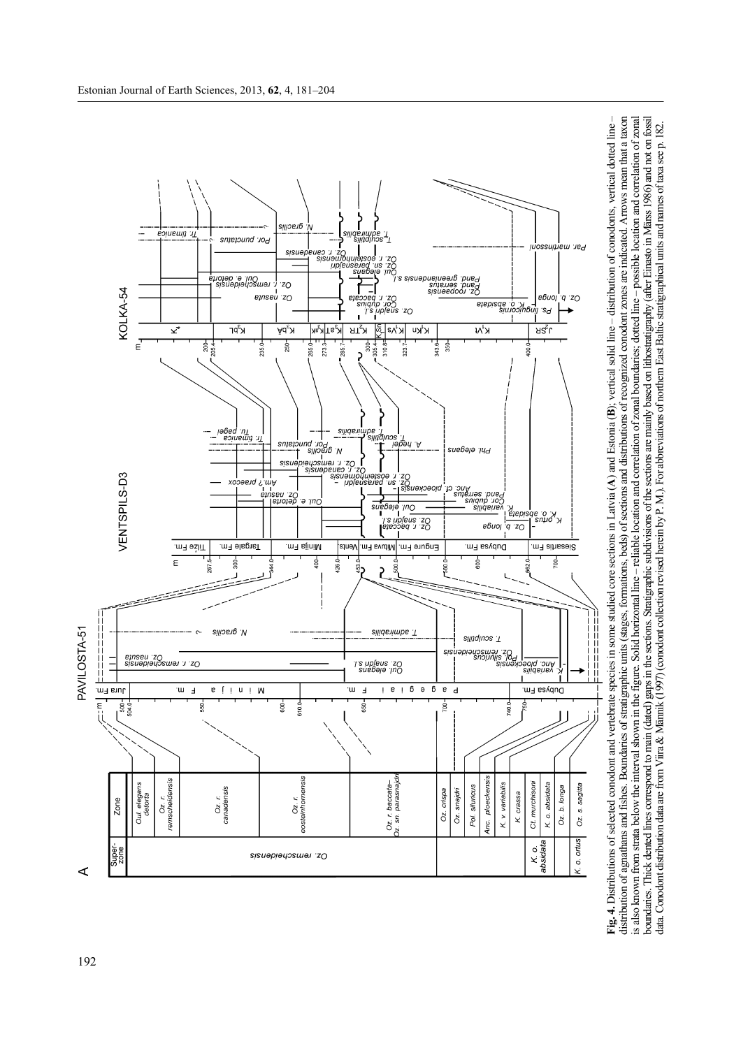

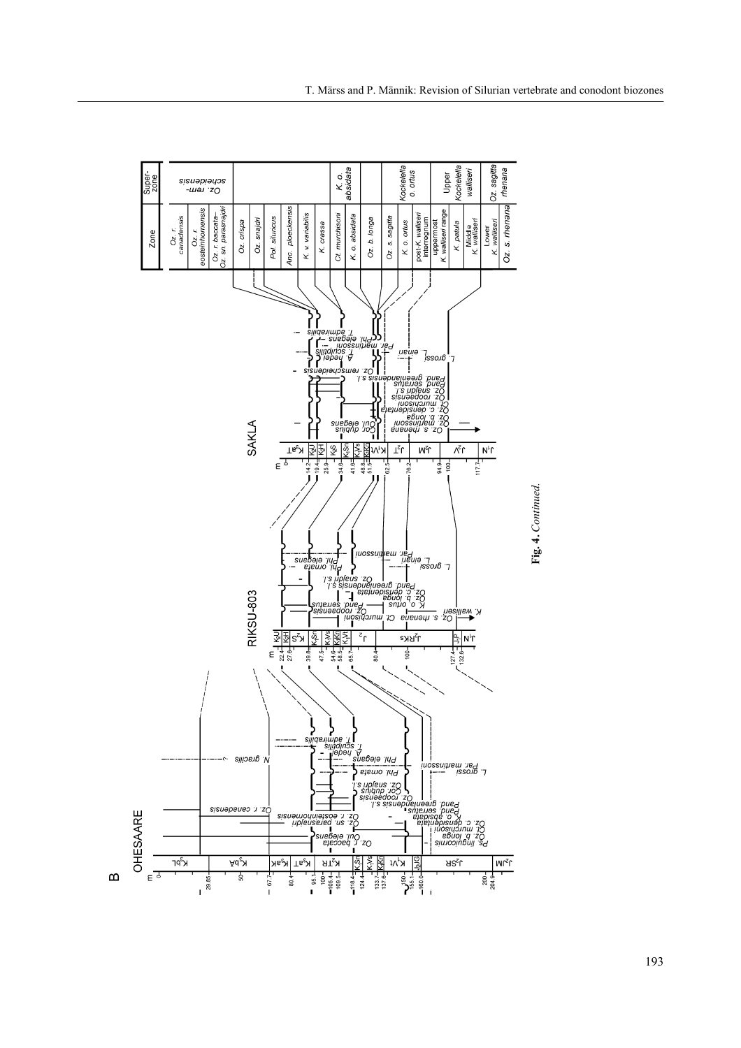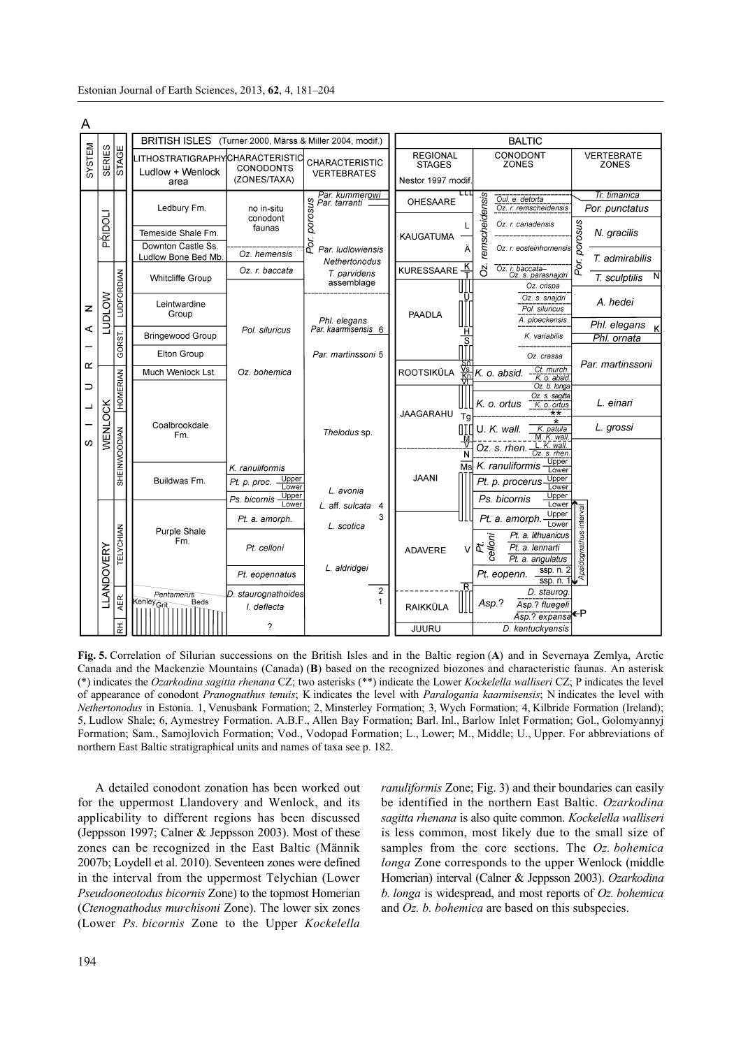| A                 |                   |                            |                                                             |                                                   |                                                           |                                                        |                                                                           |                                   |  |  |  |
|-------------------|-------------------|----------------------------|-------------------------------------------------------------|---------------------------------------------------|-----------------------------------------------------------|--------------------------------------------------------|---------------------------------------------------------------------------|-----------------------------------|--|--|--|
|                   |                   |                            | BRITISH ISLES (Turner 2000, Märss & Miller 2004, modif.)    |                                                   |                                                           | <b>BALTIC</b>                                          |                                                                           |                                   |  |  |  |
| SYSTEM            | SERIES            | STAGE                      | LITHOSTRATIGRAPHYCHARACTERISTIC<br>Ludlow + Wenlock<br>area | <b>CONODONTS</b><br>(ZONES/TAXA)                  | <b>CHARACTERISTIC</b><br><b>VERTEBRATES</b>               | <b>REGIONAL</b><br><b>STAGES</b><br>Nestor 1997 modif. | CONODONT<br><b>ZONES</b>                                                  | <b>VERTEBRATE</b><br><b>ZONES</b> |  |  |  |
|                   |                   |                            | Ledbury Fm.                                                 | no in-situ                                        | Par. kummerowi<br>Por. porosus<br>Par. tarranti           | OHESAARE                                               | Oul. e. detorta<br>Oz. r. remscheidensis                                  | Tr. timanica<br>Por. punctatus    |  |  |  |
|                   | <b>PRIDOL</b>     |                            | Temeside Shale Fm.                                          | conodont<br>faunas                                |                                                           | <b>KAUGATUMA</b>                                       | remscheidensis<br>Oz. r. canadensis                                       | N. gracilis                       |  |  |  |
|                   |                   |                            | Downton Castle Ss.<br>Ludlow Bone Bed Mb.                   | Oz. hemensis                                      | Par. <i>Iudiowiensis</i><br>Nethertonodus                 | Ä                                                      | Oz. r. eosteinhornensis                                                   | porosus<br>T. admirabilis         |  |  |  |
|                   |                   | LUDFORDIAN<br><b>GORST</b> | <b>Whitcliffe Group</b>                                     | Oz. r. baccata                                    | T. parvidens<br>assemblage                                | ĸ<br><b>KURESSAARE</b>                                 | ð.<br>Oz. r. baccata-<br>Oz. s. parasnajdri<br>Oz. crispa                 | Por.<br>T. sculptilis             |  |  |  |
| $\mathbf{z}$<br>⋖ | <b>LUDLOW</b>     |                            | Leintwardine<br>Group                                       |                                                   | Phl. elegans<br>Par. kaarmisensis 6<br>Par. martinssoni 5 | <b>PAADLA</b>                                          | Oz. s. snajdri<br>Pol. siluricus                                          | A. hedei                          |  |  |  |
|                   |                   |                            | <b>Bringewood Group</b>                                     | Pol. siluricus                                    |                                                           |                                                        | A. ploeckensis<br>K. variabilis                                           | Phl. elegans<br>Phl. ornata       |  |  |  |
|                   |                   |                            | <b>Elton Group</b>                                          |                                                   |                                                           |                                                        | Oz. crassa                                                                |                                   |  |  |  |
| œ<br>⊃<br>┙       |                   |                            | Much Wenlock Lst.                                           | Oz. bohemica                                      |                                                           | Vs<br>Kn<br><b>ROOTSIKÜLA</b>                          | Ct. murch.<br>K. o. absid.<br>$K$ o. absid.                               | Par. martinssoni                  |  |  |  |
|                   |                   | HOMERIAN                   | Coalbrookdale<br>Fm.<br>Buildwas Fm.                        |                                                   |                                                           | JAAGARAHU<br>Tq                                        | Oz. b. longa<br>Oz. s. sagitta<br>K. o. ortus<br>K. o. ortus<br>∓*        | L. einari                         |  |  |  |
|                   | <b>WENLOCK</b>    | SHEINWOODIAN               |                                                             |                                                   | Thelodus sp.                                              | м                                                      | ÷<br>$\parallel$ T $\parallel$ U. K. wall.<br>K. patula<br>M. K. wall.    | L. grossi                         |  |  |  |
| w                 |                   |                            |                                                             |                                                   |                                                           | N<br>Msl                                               | L. $K.$ wall.<br>Oz. s. rhen.<br>Oz. s. rhen.<br>Upper<br>K. ranuliformis |                                   |  |  |  |
|                   |                   |                            |                                                             | K. ranuliformis<br>Upper<br>Pt. p. proc.<br>Lower | L. avonia                                                 | <b>JAANI</b>                                           | Lower<br>Upper<br>Pt. p. procerus<br>Lower                                |                                   |  |  |  |
|                   |                   |                            | <b>Purple Shale</b><br>Fm.                                  | Upper<br>Ps. bicornis<br>Lower                    | L. aff. sulcata<br>4                                      |                                                        | Upper<br>Ps. bicornis<br>Lower<br>Upper                                   |                                   |  |  |  |
|                   |                   |                            |                                                             | Pt. a. amorph.                                    | 3<br>L. scotica                                           |                                                        | Pt. a. amorph.<br>Lower<br>Pt. a. lithuanicus                             |                                   |  |  |  |
|                   |                   | <b>TELYCHIAN</b>           |                                                             | Pt. celloni                                       |                                                           | v<br><b>ADAVERE</b>                                    | celloni<br>Pt. a. lennarti<br>ď<br>Pt. a. angulatus                       | Apsidognathus-interval            |  |  |  |
|                   | <b>LLANDOVERY</b> |                            |                                                             | Pt. eopennatus                                    | L. aldridgei                                              |                                                        | ssp. n. 2<br>Pt. eopenn.<br>ssp. n. 1                                     |                                   |  |  |  |
|                   |                   | AER.                       | Pentamerus                                                  | D. staurognathoides<br>I. deflecta                | 2<br>1                                                    | RAIKKÜLA                                               | D. staurog.<br>Asp.?<br>Asp.? fluegeli                                    |                                   |  |  |  |

**Fig. 5.** Correlation of Silurian successions on the British Isles and in the Baltic region (**A**) and in Severnaya Zemlya, Arctic Canada and the Mackenzie Mountains (Canada) (**B**) based on the recognized biozones and characteristic faunas. An asterisk (\*) indicates the *Ozarkodina sagitta rhenana* CZ; two asterisks (\*\*) indicate the Lower *Kockelella walliseri* CZ; P indicates the level of appearance of conodont *Pranognathus tenuis*; K indicates the level with *Paralogania kaarmisensis*; N indicates the level with *Nethertonodus* in Estonia. 1, Venusbank Formation; 2, Minsterley Formation; 3, Wych Formation; 4, Kilbride Formation (Ireland); 5, Ludlow Shale; 6, Aymestrey Formation. A.B.F., Allen Bay Formation; Barl. Inl., Barlow Inlet Formation; Gol., Golomyannyj Formation; Sam., Samojlovich Formation; Vod., Vodopad Formation; L., Lower; M., Middle; U., Upper. For abbreviations of northern East Baltic stratigraphical units and names of taxa see p. 182.

**JUURU** 

A detailed conodont zonation has been worked out for the uppermost Llandovery and Wenlock, and its applicability to different regions has been discussed (Jeppsson 1997; Calner & Jeppsson 2003). Most of these zones can be recognized in the East Baltic (Männik 2007b; Loydell et al. 2010). Seventeen zones were defined in the interval from the uppermost Telychian (Lower *Pseudooneotodus bicornis* Zone) to the topmost Homerian (*Ctenognathodus murchisoni* Zone). The lower six zones (Lower *Ps. bicornis* Zone to the Upper *Kockelella* 

 $\overline{?}$ 

*ranuliformis* Zone; Fig. 3) and their boundaries can easily be identified in the northern East Baltic. *Ozarkodina sagitta rhenana* is also quite common. *Kockelella walliseri*  is less common, most likely due to the small size of samples from the core sections. The *Oz. bohemica longa* Zone corresponds to the upper Wenlock (middle Homerian) interval (Calner & Jeppsson 2003). *Ozarkodina b. longa* is widespread, and most reports of *Oz. bohemica* and *Oz. b. bohemica* are based on this subspecies.

⊐⊾

Asp.? expansa

D. kentuckyensis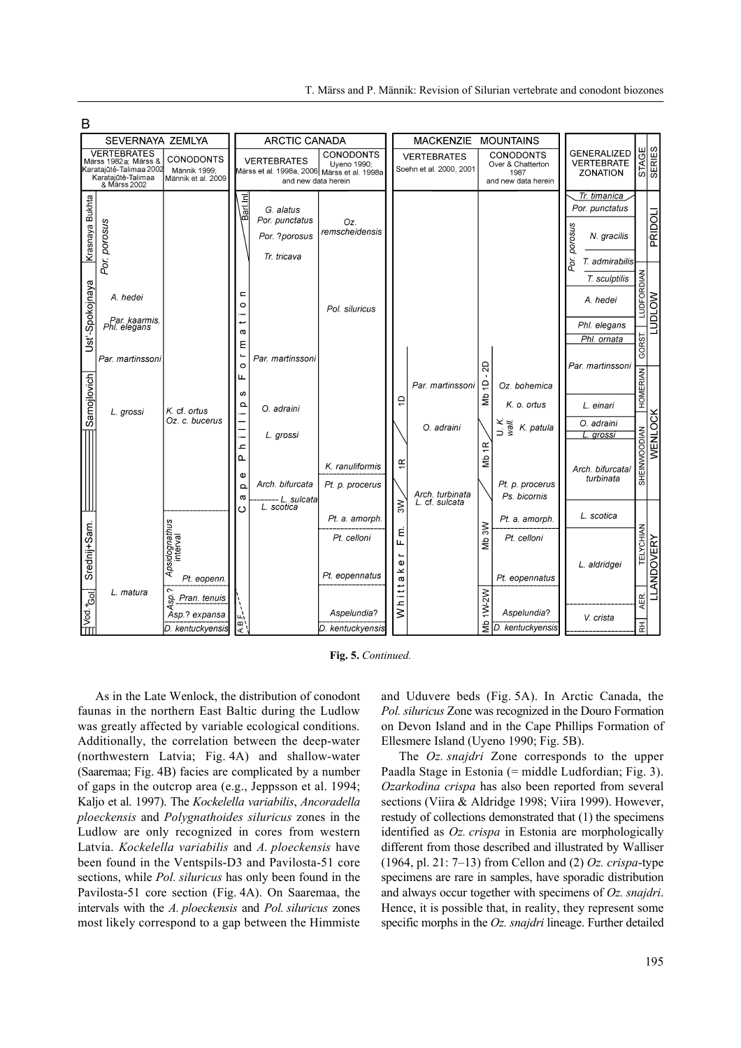| D                       |                                                                                                      |                                                         |                                                                                          |                                    |                              |                                               |                      |                                                                      |                                                                                    |                  |                        |
|-------------------------|------------------------------------------------------------------------------------------------------|---------------------------------------------------------|------------------------------------------------------------------------------------------|------------------------------------|------------------------------|-----------------------------------------------|----------------------|----------------------------------------------------------------------|------------------------------------------------------------------------------------|------------------|------------------------|
|                         | SEVERNAYA ZEMLYA                                                                                     |                                                         | <b>ARCTIC CANADA</b>                                                                     |                                    |                              | <b>MACKENZIE</b>                              |                      | <b>MOUNTAINS</b>                                                     |                                                                                    |                  |                        |
|                         | VERTEBRATES<br>Märss 1982a, Märss &<br>Karatajūtė-Talimaa 2002<br>Karatajūtė-Talimaa<br>& Märss 2002 | CONODONTS<br>Männik 1999;<br>Männik et al. 2009         | <b>VERTEBRATES</b><br>Märss et al. 1998a, 2006 Märss et al. 1998a<br>and new data herein | <b>CONODONTS</b><br>Uveno 1990:    |                              | <b>VERTEBRATES</b><br>Soehn et al. 2000, 2001 |                      | <b>CONODONTS</b><br>Over & Chatterton<br>1987<br>and new data herein | <b>GENERALIZED</b><br><b>VERTEBRATE</b><br><b>ZONATION</b>                         |                  | <b>STAGE</b><br>SERIES |
| Krasnaya Bukhta         | Por. porosus                                                                                         |                                                         | Ξ<br>Barl.<br>G. alatus<br>Por. punctatus<br>Por. ?porosus<br>Tr. tricava                | Oz.<br>remscheidensis              |                              |                                               |                      |                                                                      | Tr. timanica<br>Por. punctatus<br>porosus<br>N. gracilis<br>Por.<br>T. admirabilis |                  | PRIDOLI                |
|                         |                                                                                                      |                                                         |                                                                                          |                                    |                              |                                               |                      |                                                                      | T. sculptilis                                                                      |                  |                        |
| Ust'-Spokojnaya         | A. hedei                                                                                             |                                                         | c<br>$\circ$                                                                             | Pol. siluricus                     |                              |                                               |                      |                                                                      | A. hedei                                                                           | LUDFORDIAN       | <b>LUDLOW</b>          |
|                         | Par. kaarmis.<br>Phl. elegans                                                                        |                                                         | σ                                                                                        |                                    |                              |                                               |                      |                                                                      | Phl. elegans                                                                       |                  |                        |
|                         |                                                                                                      |                                                         | ε                                                                                        |                                    |                              |                                               |                      |                                                                      | Phl. ornata                                                                        | GORST.           |                        |
| Samojlovich             | Par. martinssoni                                                                                     |                                                         | Par. martinssoni<br>$\circ$<br>п.                                                        |                                    |                              | Par. martinssoni                              | 5D<br>$\overline{a}$ | Oz. bohemica                                                         | Par. martinssoni                                                                   | HOMERIAN         |                        |
|                         |                                                                                                      |                                                         | S<br>Q                                                                                   |                                    | ₽                            |                                               | di                   | K. o. ortus                                                          |                                                                                    |                  |                        |
|                         | L. grossi                                                                                            | K. cf. ortus<br>Oz. c. bucerus                          | O. adraini                                                                               |                                    |                              |                                               |                      |                                                                      | L. einari                                                                          |                  |                        |
|                         |                                                                                                      |                                                         | L. grossi                                                                                |                                    |                              | O. adraini                                    |                      | × <sub>ミ</sub><br>⊃ ≋ <i>K. patula</i>                               | O. adraini<br>L. grossi                                                            |                  |                        |
|                         |                                                                                                      |                                                         | $\overline{C}$<br>൨<br>Φ<br>Arch. bifurcata<br>$\Omega$<br>æ                             | K. ranuliformis<br>Pt. p. procerus | $\frac{\alpha}{\pi}$         | Arch, turbinata                               | ίĸ<br>dM             | Pt. p. procerus<br>Ps. bicornis                                      | Arch. bifurcatal<br>turbinata                                                      | SHEINWOODIAN     | <b>WENLOCK</b>         |
|                         |                                                                                                      |                                                         | --- L. sulcata<br>L. scotica<br>ပ                                                        | Pt. a. amorph.                     | $\gtrapprox$                 | L. cf. sulcata                                |                      | Pt. a. amorph.                                                       | L. scotica                                                                         |                  |                        |
| Srednij+Sam.            |                                                                                                      | Apsidognathus<br>interval<br>Pt. eopenn.                |                                                                                          | Pt. celloni<br>Pt. eopennatus      | ξ<br>Щ<br>Φ<br>×<br>$\sigma$ |                                               | $\gtrsim$<br>Мb      | Pt. celloni<br>Pt. eopennatus                                        | L. aldridgei                                                                       | <b>TELYCHIAN</b> | <b>LLANDOVERY</b>      |
| $\Xi^{\text{Vod}}$ Gol. | L. matura                                                                                            | S.<br>Pran. tenuis<br>Asp.? expansa<br>D. kentuckyensis | മി<br>₹                                                                                  | Aspelundia?<br>D. kentuckyensis    | ٠<br>≐<br>$\geq$             |                                               | 1W-2W<br>dp          | Aspelundia?<br>D. kentuckyensis                                      | V. crista                                                                          | AER.<br>玉        |                        |

**Fig. 5.** *Continued.*

As in the Late Wenlock, the distribution of conodont faunas in the northern East Baltic during the Ludlow was greatly affected by variable ecological conditions. Additionally, the correlation between the deep-water (northwestern Latvia; Fig. 4A) and shallow-water (Saaremaa; Fig. 4B) facies are complicated by a number of gaps in the outcrop area (e.g., Jeppsson et al. 1994; Kaljo et al. 1997). The *Kockelella variabilis*, *Ancoradella ploeckensis* and *Polygnathoides siluricus* zones in the Ludlow are only recognized in cores from western Latvia. *Kockelella variabilis* and *A. ploeckensis* have been found in the Ventspils-D3 and Pavilosta-51 core sections, while *Pol. siluricus* has only been found in the Pavilosta-51 core section (Fig. 4A). On Saaremaa, the intervals with the *A. ploeckensis* and *Pol. siluricus* zones most likely correspond to a gap between the Himmiste

B

and Uduvere beds (Fig. 5A). In Arctic Canada, the *Pol. siluricus* Zone was recognized in the Douro Formation on Devon Island and in the Cape Phillips Formation of Ellesmere Island (Uyeno 1990; Fig. 5B).

The *Oz. snajdri* Zone corresponds to the upper Paadla Stage in Estonia (= middle Ludfordian; Fig. 3). *Ozarkodina crispa* has also been reported from several sections (Viira & Aldridge 1998; Viira 1999). However, restudy of collections demonstrated that (1) the specimens identified as *Oz. crispa* in Estonia are morphologically different from those described and illustrated by Walliser (1964, pl. 21:  $7-13$ ) from Cellon and (2) *Oz. crispa*-type specimens are rare in samples, have sporadic distribution and always occur together with specimens of *Oz. snajdri*. Hence, it is possible that, in reality, they represent some specific morphs in the *Oz. snajdri* lineage. Further detailed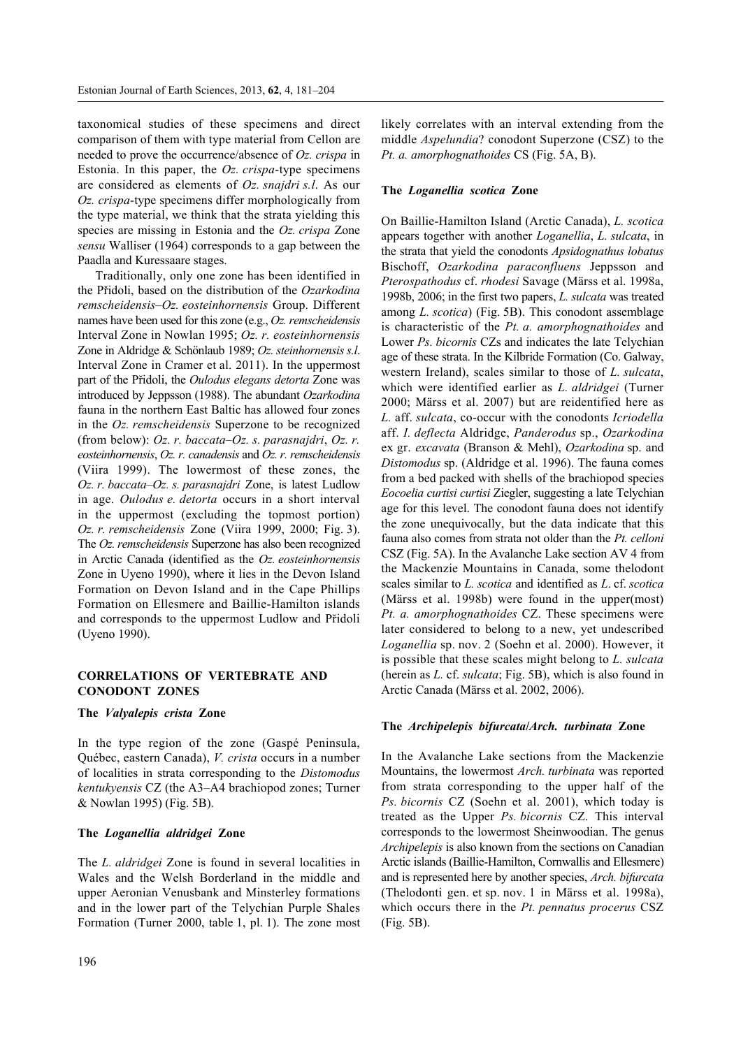taxonomical studies of these specimens and direct comparison of them with type material from Cellon are needed to prove the occurrence/absence of *Oz. crispa* in Estonia. In this paper, the *Oz. crispa*-type specimens are considered as elements of *Oz. snajdri s.l*. As our *Oz. crispa*-type specimens differ morphologically from the type material, we think that the strata yielding this species are missing in Estonia and the *Oz. crispa* Zone *sensu* Walliser (1964) corresponds to a gap between the Paadla and Kuressaare stages.

Traditionally, only one zone has been identified in the Přidoli, based on the distribution of the *Ozarkodina remscheidensis*ñ*Oz. eosteinhornensis* Group. Different names have been used for this zone (e.g., *Oz. remscheidensis* Interval Zone in Nowlan 1995; *Oz. r. eosteinhornensis* Zone in Aldridge & Schönlaub 1989; *Oz. steinhornensis s.l.* Interval Zone in Cramer et al. 2011). In the uppermost part of the Přidoli, the *Oulodus elegans detorta* Zone was introduced by Jeppsson (1988). The abundant *Ozarkodina* fauna in the northern East Baltic has allowed four zones in the *Oz. remscheidensis* Superzone to be recognized (from below): *Oz. r. baccata–Oz. s. parasnajdri*, *Oz. r. eosteinhornensis*, *Oz. r. canadensis* and *Oz. r. remscheidensis* (Viira 1999). The lowermost of these zones, the *Oz. r. baccata–Oz. s. parasnajdri* Zone, is latest Ludlow in age. *Oulodus e. detorta* occurs in a short interval in the uppermost (excluding the topmost portion) *Oz. r. remscheidensis* Zone (Viira 1999, 2000; Fig. 3). The *Oz. remscheidensis* Superzone has also been recognized in Arctic Canada (identified as the *Oz. eosteinhornensis* Zone in Uyeno 1990), where it lies in the Devon Island Formation on Devon Island and in the Cape Phillips Formation on Ellesmere and Baillie-Hamilton islands and corresponds to the uppermost Ludlow and Přidoli (Uyeno 1990).

# **CORRELATIONS OF VERTEBRATE AND CONODONT ZONES**

# **The** *Valyalepis crista* **Zone**

In the type region of the zone (Gaspé Peninsula, QuÈbec, eastern Canada), *V. crista* occurs in a number of localities in strata corresponding to the *Distomodus kentukyensis* CZ (the A3–A4 brachiopod zones; Turner & Nowlan 1995) (Fig. 5B).

#### **The** *Loganellia aldridgei* **Zone**

The *L. aldridgei* Zone is found in several localities in Wales and the Welsh Borderland in the middle and upper Aeronian Venusbank and Minsterley formations and in the lower part of the Telychian Purple Shales Formation (Turner 2000, table 1, pl. 1). The zone most likely correlates with an interval extending from the middle *Aspelundia*? conodont Superzone (CSZ) to the *Pt. a. amorphognathoides* CS (Fig. 5A, B).

#### **The** *Loganellia scotica* **Zone**

On Baillie-Hamilton Island (Arctic Canada), *L. scotica* appears together with another *Loganellia*, *L. sulcata*, in the strata that yield the conodonts *Apsidognathus lobatus* Bischoff, *Ozarkodina paraconfluens* Jeppsson and *Pterospathodus* cf. *rhodesi* Savage (M‰rss et al. 1998a, 1998b, 2006; in the first two papers, *L. sulcata* was treated among *L. scotica*) (Fig. 5B). This conodont assemblage is characteristic of the *Pt. a. amorphognathoides* and Lower *Ps. bicornis* CZs and indicates the late Telychian age of these strata. In the Kilbride Formation (Co. Galway, western Ireland), scales similar to those of *L. sulcata*, which were identified earlier as *L. aldridgei* (Turner 2000; Märss et al. 2007) but are reidentified here as *L.* aff. *sulcata*, co-occur with the conodonts *Icriodella* aff. *I. deflecta* Aldridge, *Panderodus* sp., *Ozarkodina* ex gr. *excavata* (Branson & Mehl), *Ozarkodina* sp. and *Distomodus* sp. (Aldridge et al. 1996). The fauna comes from a bed packed with shells of the brachiopod species *Eocoelia curtisi curtisi* Ziegler, suggesting a late Telychian age for this level. The conodont fauna does not identify the zone unequivocally, but the data indicate that this fauna also comes from strata not older than the *Pt. celloni* CSZ (Fig. 5A). In the Avalanche Lake section AV 4 from the Mackenzie Mountains in Canada, some thelodont scales similar to *L. scotica* and identified as *L*. cf. *scotica* (Märss et al. 1998b) were found in the upper(most) *Pt. a. amorphognathoides* CZ. These specimens were later considered to belong to a new, yet undescribed *Loganellia* sp. nov. 2 (Soehn et al. 2000). However, it is possible that these scales might belong to *L. sulcata* (herein as *L.* cf. *sulcata*; Fig. 5B), which is also found in Arctic Canada (Märss et al. 2002, 2006).

### **The** *Archipelepis bifurcata***/***Arch. turbinata* **Zone**

In the Avalanche Lake sections from the Mackenzie Mountains, the lowermost *Arch. turbinata* was reported from strata corresponding to the upper half of the *Ps. bicornis* CZ (Soehn et al. 2001), which today is treated as the Upper *Ps. bicornis* CZ. This interval corresponds to the lowermost Sheinwoodian. The genus *Archipelepis* is also known from the sections on Canadian Arctic islands (Baillie-Hamilton, Cornwallis and Ellesmere) and is represented here by another species, *Arch. bifurcata* (Thelodonti gen. et sp. nov. 1 in Märss et al. 1998a), which occurs there in the *Pt. pennatus procerus* CSZ (Fig. 5B).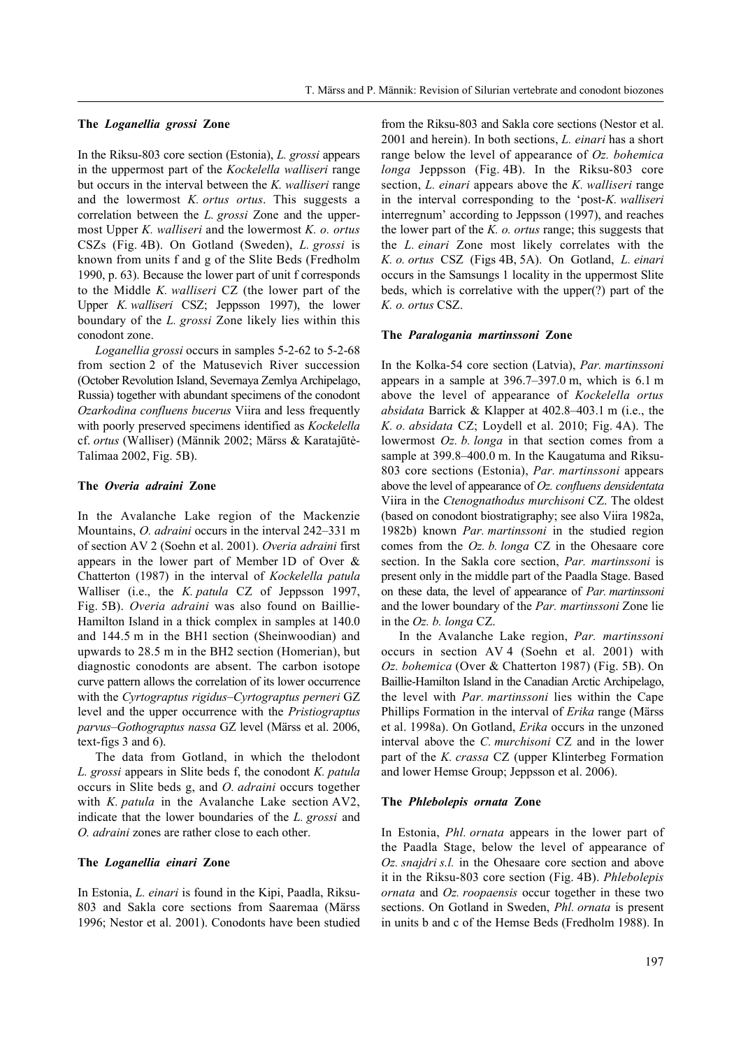### **The** *Loganellia grossi* **Zone**

In the Riksu-803 core section (Estonia), *L. grossi* appears in the uppermost part of the *Kockelella walliseri* range but occurs in the interval between the *K. walliseri* range and the lowermost *K. ortus ortus*. This suggests a correlation between the *L. grossi* Zone and the uppermost Upper *K. walliseri* and the lowermost *K. o. ortus* CSZs (Fig. 4B). On Gotland (Sweden), *L. grossi* is known from units f and g of the Slite Beds (Fredholm 1990, p. 63). Because the lower part of unit f corresponds to the Middle *K. walliseri* CZ (the lower part of the Upper *K. walliseri* CSZ; Jeppsson 1997), the lower boundary of the *L. grossi* Zone likely lies within this conodont zone.

*Loganellia grossi* occurs in samples 5-2-62 to 5-2-68 from section 2 of the Matusevich River succession (October Revolution Island, Severnaya Zemlya Archipelago, Russia) together with abundant specimens of the conodont *Ozarkodina confluens bucerus* Viira and less frequently with poorly preserved specimens identified as *Kockelella*  cf. ortus (Walliser) (Männik 2002; Märss & Karatajūtė-Talimaa 2002, Fig. 5B).

### **The** *Overia adraini* **Zone**

In the Avalanche Lake region of the Mackenzie Mountains, *O. adraini* occurs in the interval 242–331 m of section AV 2 (Soehn et al. 2001). *Overia adraini* first appears in the lower part of Member 1D of Over & Chatterton (1987) in the interval of *Kockelella patula* Walliser (i.e., the *K. patula* CZ of Jeppsson 1997, Fig. 5B). *Overia adraini* was also found on Baillie-Hamilton Island in a thick complex in samples at 140.0 and 144.5 m in the BH1 section (Sheinwoodian) and upwards to 28.5 m in the BH2 section (Homerian), but diagnostic conodonts are absent. The carbon isotope curve pattern allows the correlation of its lower occurrence with the *Cyrtograptus rigidus–Cyrtograptus perneri* GZ level and the upper occurrence with the *Pristiograptus*  parvus-Gothograptus nassa GZ level (Märss et al. 2006, text-figs 3 and 6).

The data from Gotland, in which the thelodont *L. grossi* appears in Slite beds f, the conodont *K. patula* occurs in Slite beds g, and *O. adraini* occurs together with *K. patula* in the Avalanche Lake section AV2, indicate that the lower boundaries of the *L. grossi* and *O. adraini* zones are rather close to each other.

### **The** *Loganellia einari* **Zone**

In Estonia, *L. einari* is found in the Kipi, Paadla, Riksu-803 and Sakla core sections from Saaremaa (Märss 1996; Nestor et al. 2001). Conodonts have been studied from the Riksu-803 and Sakla core sections (Nestor et al. 2001 and herein). In both sections, *L. einari* has a short range below the level of appearance of *Oz. bohemica longa* Jeppsson (Fig. 4B). In the Riksu-803 core section, *L. einari* appears above the *K. walliseri* range in the interval corresponding to the ëpost-*K. walliseri* interregnum<sup>3</sup> according to Jeppsson (1997), and reaches the lower part of the *K. o. ortus* range; this suggests that the *L. einari* Zone most likely correlates with the *K. o. ortus* CSZ (Figs 4B, 5A). On Gotland, *L. einari* occurs in the Samsungs 1 locality in the uppermost Slite beds, which is correlative with the upper(?) part of the *K. o. ortus* CSZ.

### **The** *Paralogania martinssoni* **Zone**

In the Kolka-54 core section (Latvia), *Par. martinssoni* appears in a sample at  $396.7-397.0$  m, which is 6.1 m above the level of appearance of *Kockelella ortus absidata* Barrick & Klapper at  $402.8-403.1$  m (i.e., the *K. o. absidata* CZ; Loydell et al. 2010; Fig. 4A). The lowermost *Oz. b. longa* in that section comes from a sample at 399.8–400.0 m. In the Kaugatuma and Riksu-803 core sections (Estonia), *Par. martinssoni* appears above the level of appearance of *Oz. confluens densidentata* Viira in the *Ctenognathodus murchisoni* CZ. The oldest (based on conodont biostratigraphy; see also Viira 1982a, 1982b) known *Par. martinssoni* in the studied region comes from the *Oz. b. longa* CZ in the Ohesaare core section. In the Sakla core section, *Par. martinssoni* is present only in the middle part of the Paadla Stage. Based on these data, the level of appearance of *Par. martinssoni* and the lower boundary of the *Par. martinssoni* Zone lie in the *Oz. b. longa* CZ.

In the Avalanche Lake region, *Par. martinssoni* occurs in section AV 4 (Soehn et al. 2001) with *Oz. bohemica* (Over & Chatterton 1987) (Fig. 5B). On Baillie-Hamilton Island in the Canadian Arctic Archipelago, the level with *Par. martinssoni* lies within the Cape Phillips Formation in the interval of *Erika* range (Märss et al. 1998a). On Gotland, *Erika* occurs in the unzoned interval above the *C. murchisoni* CZ and in the lower part of the *K. crassa* CZ (upper Klinterbeg Formation and lower Hemse Group; Jeppsson et al. 2006).

#### **The** *Phlebolepis ornata* **Zone**

In Estonia, *Phl. ornata* appears in the lower part of the Paadla Stage, below the level of appearance of *Oz. snajdri s.l.* in the Ohesaare core section and above it in the Riksu-803 core section (Fig. 4B). *Phlebolepis ornata* and *Oz. roopaensis* occur together in these two sections. On Gotland in Sweden, *Phl. ornata* is present in units b and c of the Hemse Beds (Fredholm 1988). In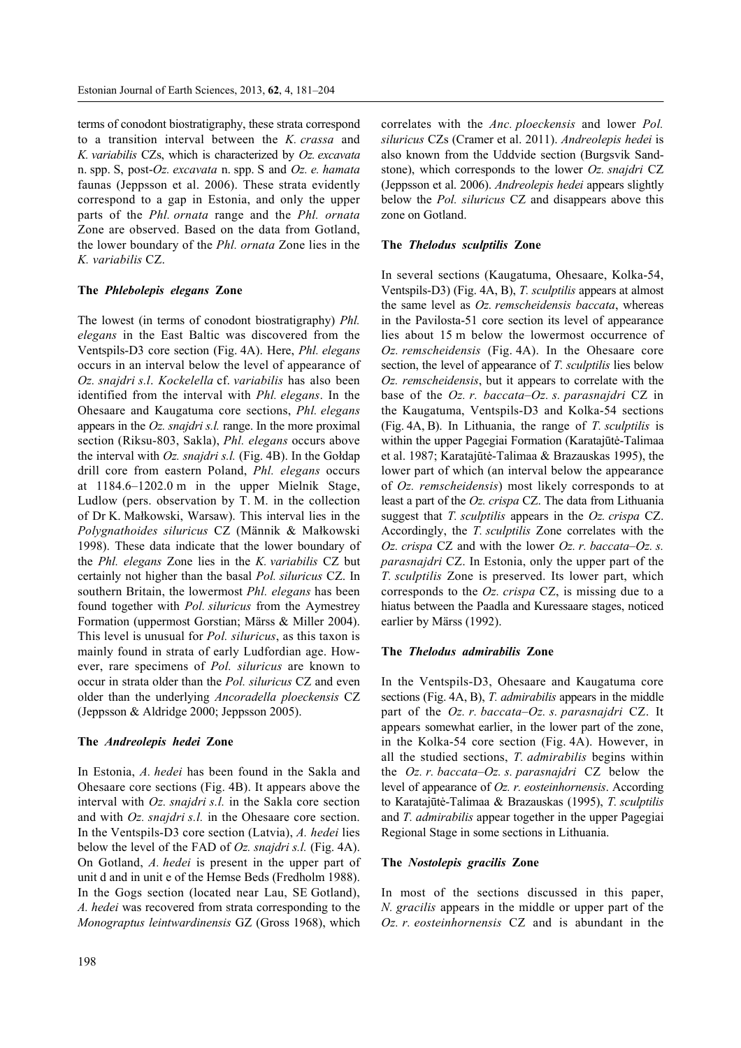terms of conodont biostratigraphy, these strata correspond to a transition interval between the *K. crassa* and *K. variabilis* CZs, which is characterized by *Oz. excavata* n. spp. S, post-*Oz. excavata* n. spp. S and *Oz. e. hamata* faunas (Jeppsson et al. 2006). These strata evidently correspond to a gap in Estonia, and only the upper parts of the *Phl. ornata* range and the *Phl. ornata* Zone are observed. Based on the data from Gotland, the lower boundary of the *Phl. ornata* Zone lies in the *K. variabilis* CZ.

# **The** *Phlebolepis elegans* **Zone**

The lowest (in terms of conodont biostratigraphy) *Phl. elegans* in the East Baltic was discovered from the Ventspils-D3 core section (Fig. 4A). Here, *Phl. elegans* occurs in an interval below the level of appearance of *Oz. snajdri s.l*. *Kockelella* cf. *variabilis* has also been identified from the interval with *Phl. elegans*. In the Ohesaare and Kaugatuma core sections, *Phl. elegans* appears in the *Oz. snajdri s.l.* range. In the more proximal section (Riksu-803, Sakla), *Phl. elegans* occurs above the interval with *Oz. snajdri s.l.* (Fig. 4B). In the Gołdap drill core from eastern Poland, *Phl. elegans* occurs at  $1184.6 - 1202.0$  m in the upper Mielnik Stage, Ludlow (pers. observation by T. M. in the collection of Dr K. Małkowski, Warsaw). This interval lies in the *Polygnathoides siluricus* CZ (M‰nnik & Małkowski 1998). These data indicate that the lower boundary of the *Phl. elegans* Zone lies in the *K. variabilis* CZ but certainly not higher than the basal *Pol. siluricus* CZ. In southern Britain, the lowermost *Phl. elegans* has been found together with *Pol. siluricus* from the Aymestrey Formation (uppermost Gorstian; Märss & Miller 2004). This level is unusual for *Pol. siluricus*, as this taxon is mainly found in strata of early Ludfordian age. However, rare specimens of *Pol. siluricus* are known to occur in strata older than the *Pol. siluricus* CZ and even older than the underlying *Ancoradella ploeckensis* CZ (Jeppsson & Aldridge 2000; Jeppsson 2005).

# **The** *Andreolepis hedei* **Zone**

In Estonia, *A. hedei* has been found in the Sakla and Ohesaare core sections (Fig. 4B). It appears above the interval with *Oz. snajdri s.l.* in the Sakla core section and with *Oz. snajdri s.l.* in the Ohesaare core section. In the Ventspils-D3 core section (Latvia), *A. hedei* lies below the level of the FAD of *Oz. snajdri s.l.* (Fig. 4A). On Gotland, *A. hedei* is present in the upper part of unit d and in unit e of the Hemse Beds (Fredholm 1988). In the Gogs section (located near Lau, SE Gotland), *A. hedei* was recovered from strata corresponding to the *Monograptus leintwardinensis* GZ (Gross 1968), which correlates with the *Anc. ploeckensis* and lower *Pol. siluricus* CZs (Cramer et al. 2011). *Andreolepis hedei* is also known from the Uddvide section (Burgsvik Sandstone), which corresponds to the lower *Oz. snajdri* CZ (Jeppsson et al. 2006). *Andreolepis hedei* appears slightly below the *Pol. siluricus* CZ and disappears above this zone on Gotland.

# **The** *Thelodus sculptilis* **Zone**

In several sections (Kaugatuma, Ohesaare, Kolka-54, Ventspils-D3) (Fig. 4A, B), *T. sculptilis* appears at almost the same level as *Oz. remscheidensis baccata*, whereas in the Pavilosta-51 core section its level of appearance lies about 15 m below the lowermost occurrence of *Oz. remscheidensis* (Fig. 4A). In the Ohesaare core section, the level of appearance of *T. sculptilis* lies below *Oz. remscheidensis*, but it appears to correlate with the base of the *Oz. r. baccata–Oz. s. parasnajdri* CZ in the Kaugatuma, Ventspils-D3 and Kolka-54 sections (Fig. 4A, B). In Lithuania, the range of *T. sculptilis* is within the upper Pagegiai Formation (Karatajūtė-Talimaa et al. 1987; Karatajūtė-Talimaa & Brazauskas 1995), the lower part of which (an interval below the appearance of *Oz. remscheidensis*) most likely corresponds to at least a part of the *Oz. crispa* CZ. The data from Lithuania suggest that *T. sculptilis* appears in the *Oz. crispa* CZ. Accordingly, the *T. sculptilis* Zone correlates with the *Oz. crispa* CZ and with the lower *Oz. r. baccata–Oz. s. parasnajdri* CZ. In Estonia, only the upper part of the *T. sculptilis* Zone is preserved. Its lower part, which corresponds to the *Oz. crispa* CZ, is missing due to a hiatus between the Paadla and Kuressaare stages, noticed earlier by Märss (1992).

# **The** *Thelodus admirabilis* **Zone**

In the Ventspils-D3, Ohesaare and Kaugatuma core sections (Fig. 4A, B), *T. admirabilis* appears in the middle part of the *Oz. r. baccata–Oz. s. parasnajdri* CZ. It appears somewhat earlier, in the lower part of the zone, in the Kolka-54 core section (Fig. 4A). However, in all the studied sections, *T. admirabilis* begins within the *Oz. r. baccata–Oz. s. parasnajdri* CZ below the level of appearance of *Oz. r. eosteinhornensis*. According to Karatajūtė-Talimaa & Brazauskas (1995), *T. sculptilis* and *T. admirabilis* appear together in the upper Pagegiai Regional Stage in some sections in Lithuania.

# **The** *Nostolepis gracilis* **Zone**

In most of the sections discussed in this paper, *N. gracilis* appears in the middle or upper part of the *Oz. r. eosteinhornensis* CZ and is abundant in the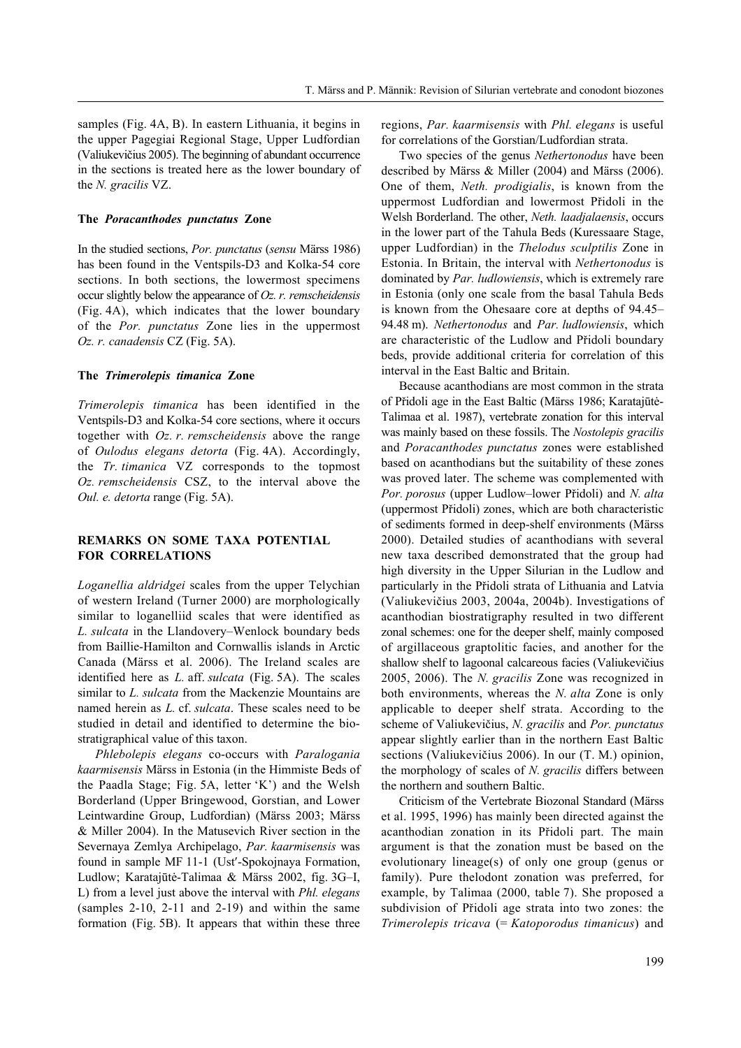samples (Fig. 4A, B). In eastern Lithuania, it begins in the upper Pagegiai Regional Stage, Upper Ludfordian (Valiukevičius 2005). The beginning of abundant occurrence in the sections is treated here as the lower boundary of the *N. gracilis* VZ.

#### **The** *Poracanthodes punctatus* **Zone**

In the studied sections, *Por. punctatus* (*sensu* Märss 1986) has been found in the Ventspils-D3 and Kolka-54 core sections. In both sections, the lowermost specimens occur slightly below the appearance of *Oz. r. remscheidensis*  (Fig. 4A), which indicates that the lower boundary of the *Por. punctatus* Zone lies in the uppermost *Oz. r. canadensis* CZ (Fig. 5A).

#### **The** *Trimerolepis timanica* **Zone**

*Trimerolepis timanica* has been identified in the Ventspils-D3 and Kolka-54 core sections, where it occurs together with *Oz. r. remscheidensis* above the range of *Oulodus elegans detorta* (Fig. 4A). Accordingly, the *Tr. timanica* VZ corresponds to the topmost *Oz. remscheidensis* CSZ, to the interval above the *Oul. e. detorta* range (Fig. 5A).

# **REMARKS ON SOME TAXA POTENTIAL FOR CORRELATIONS**

*Loganellia aldridgei* scales from the upper Telychian of western Ireland (Turner 2000) are morphologically similar to loganelliid scales that were identified as *L. sulcata* in the Llandovery–Wenlock boundary beds from Baillie-Hamilton and Cornwallis islands in Arctic Canada (Märss et al. 2006). The Ireland scales are identified here as *L.* aff. *sulcata* (Fig. 5A). The scales similar to *L. sulcata* from the Mackenzie Mountains are named herein as *L.* cf. *sulcata*. These scales need to be studied in detail and identified to determine the biostratigraphical value of this taxon.

*Phlebolepis elegans* co-occurs with *Paralogania kaarmisensis* M‰rss in Estonia (in the Himmiste Beds of the Paadla Stage; Fig.  $5A$ , letter  $K'$ ) and the Welsh Borderland (Upper Bringewood, Gorstian, and Lower Leintwardine Group, Ludfordian) (Märss 2003; Märss & Miller 2004). In the Matusevich River section in the Severnaya Zemlya Archipelago, *Par. kaarmisensis* was found in sample MF 11-1 (Ust′-Spokojnaya Formation, Ludlow; Karatajūtė-Talimaa & Märss 2002, fig. 3G-I, L) from a level just above the interval with *Phl. elegans* (samples 2-10, 2-11 and 2-19) and within the same formation (Fig. 5B). It appears that within these three

regions, *Par. kaarmisensis* with *Phl. elegans* is useful for correlations of the Gorstian/Ludfordian strata.

Two species of the genus *Nethertonodus* have been described by Märss & Miller (2004) and Märss (2006). One of them, *Neth. prodigialis*, is known from the uppermost Ludfordian and lowermost Přidoli in the Welsh Borderland. The other, *Neth. laadjalaensis*, occurs in the lower part of the Tahula Beds (Kuressaare Stage, upper Ludfordian) in the *Thelodus sculptilis* Zone in Estonia. In Britain, the interval with *Nethertonodus* is dominated by *Par. ludlowiensis*, which is extremely rare in Estonia (only one scale from the basal Tahula Beds is known from the Ohesaare core at depths of 94.45– 94.48 m). *Nethertonodus* and *Par. ludlowiensis*, which are characteristic of the Ludlow and Přidoli boundary beds, provide additional criteria for correlation of this interval in the East Baltic and Britain.

Because acanthodians are most common in the strata of Přidoli age in the East Baltic (Märss 1986; Karatajūtė-Talimaa et al. 1987), vertebrate zonation for this interval was mainly based on these fossils. The *Nostolepis gracilis* and *Poracanthodes punctatus* zones were established based on acanthodians but the suitability of these zones was proved later. The scheme was complemented with *Por. porosus* (upper Ludlow–lower Přidoli) and *N. alta* (uppermost Přidoli) zones, which are both characteristic of sediments formed in deep-shelf environments (Märss 2000). Detailed studies of acanthodians with several new taxa described demonstrated that the group had high diversity in the Upper Silurian in the Ludlow and particularly in the Přidoli strata of Lithuania and Latvia (Valiukevičius 2003, 2004a, 2004b). Investigations of acanthodian biostratigraphy resulted in two different zonal schemes: one for the deeper shelf, mainly composed of argillaceous graptolitic facies, and another for the shallow shelf to lagoonal calcareous facies (Valiukevičius 2005, 2006). The *N. gracilis* Zone was recognized in both environments, whereas the *N. alta* Zone is only applicable to deeper shelf strata. According to the scheme of Valiukevičius, *N. gracilis* and *Por. punctatus* appear slightly earlier than in the northern East Baltic sections (Valiukevičius 2006). In our (T. M.) opinion, the morphology of scales of *N. gracilis* differs between the northern and southern Baltic.

Criticism of the Vertebrate Biozonal Standard (Märss et al. 1995, 1996) has mainly been directed against the acanthodian zonation in its Přidoli part. The main argument is that the zonation must be based on the evolutionary lineage(s) of only one group (genus or family). Pure thelodont zonation was preferred, for example, by Talimaa (2000, table 7). She proposed a subdivision of Přidoli age strata into two zones: the *Trimerolepis tricava* (= *Katoporodus timanicus*) and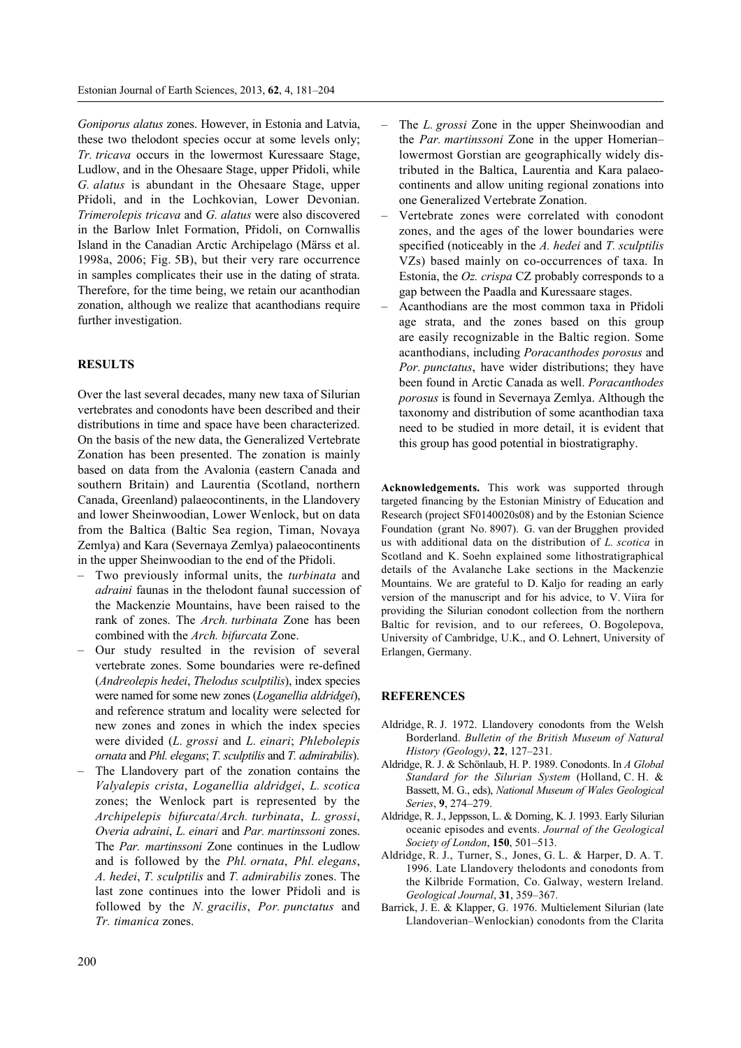*Goniporus alatus* zones. However, in Estonia and Latvia, these two thelodont species occur at some levels only; *Tr. tricava* occurs in the lowermost Kuressaare Stage, Ludlow, and in the Ohesaare Stage, upper Přidoli, while *G. alatus* is abundant in the Ohesaare Stage, upper Přidoli, and in the Lochkovian, Lower Devonian. *Trimerolepis tricava* and *G. alatus* were also discovered in the Barlow Inlet Formation, Přidoli, on Cornwallis Island in the Canadian Arctic Archipelago (Märss et al. 1998a, 2006; Fig. 5B), but their very rare occurrence in samples complicates their use in the dating of strata. Therefore, for the time being, we retain our acanthodian zonation, although we realize that acanthodians require further investigation.

# **RESULTS**

Over the last several decades, many new taxa of Silurian vertebrates and conodonts have been described and their distributions in time and space have been characterized. On the basis of the new data, the Generalized Vertebrate Zonation has been presented. The zonation is mainly based on data from the Avalonia (eastern Canada and southern Britain) and Laurentia (Scotland, northern Canada, Greenland) palaeocontinents, in the Llandovery and lower Sheinwoodian, Lower Wenlock, but on data from the Baltica (Baltic Sea region, Timan, Novaya Zemlya) and Kara (Severnaya Zemlya) palaeocontinents in the upper Sheinwoodian to the end of the Přidoli.

- ñ Two previously informal units, the *turbinata* and *adraini* faunas in the thelodont faunal succession of the Mackenzie Mountains, have been raised to the rank of zones. The *Arch. turbinata* Zone has been combined with the *Arch. bifurcata* Zone.
- Our study resulted in the revision of several vertebrate zones. Some boundaries were re-defined (*Andreolepis hedei*, *Thelodus sculptilis*), index species were named for some new zones (*Loganellia aldridgei*), and reference stratum and locality were selected for new zones and zones in which the index species were divided (*L. grossi* and *L. einari*; *Phlebolepis ornata* and *Phl. elegans*; *T. sculptilis* and *T. admirabilis*).
- The Llandovery part of the zonation contains the *Valyalepis crista*, *Loganellia aldridgei*, *L. scotica* zones; the Wenlock part is represented by the *Archipelepis bifurcata*/*Arch. turbinata*, *L. grossi*, *Overia adraini*, *L. einari* and *Par. martinssoni* zones. The *Par. martinssoni* Zone continues in the Ludlow and is followed by the *Phl. ornata*, *Phl. elegans*, *A. hedei*, *T. sculptilis* and *T. admirabilis* zones. The last zone continues into the lower Přidoli and is followed by the *N. gracilis*, *Por. punctatus* and *Tr. timanica* zones.
- The *L. grossi* Zone in the upper Sheinwoodian and the *Par. martinssoni* Zone in the upper Homerian– lowermost Gorstian are geographically widely distributed in the Baltica, Laurentia and Kara palaeocontinents and allow uniting regional zonations into one Generalized Vertebrate Zonation.
- Vertebrate zones were correlated with conodont zones, and the ages of the lower boundaries were specified (noticeably in the *A. hedei* and *T. sculptilis* VZs) based mainly on co-occurrences of taxa. In Estonia, the *Oz. crispa* CZ probably corresponds to a gap between the Paadla and Kuressaare stages.
- Acanthodians are the most common taxa in Přidoli age strata, and the zones based on this group are easily recognizable in the Baltic region. Some acanthodians, including *Poracanthodes porosus* and *Por. punctatus*, have wider distributions; they have been found in Arctic Canada as well. *Poracanthodes porosus* is found in Severnaya Zemlya. Although the taxonomy and distribution of some acanthodian taxa need to be studied in more detail, it is evident that this group has good potential in biostratigraphy.

**Acknowledgements.** This work was supported through targeted financing by the Estonian Ministry of Education and Research (project SF0140020s08) and by the Estonian Science Foundation (grant No. 8907). G. van der Brugghen provided us with additional data on the distribution of *L. scotica* in Scotland and K. Soehn explained some lithostratigraphical details of the Avalanche Lake sections in the Mackenzie Mountains. We are grateful to D. Kaljo for reading an early version of the manuscript and for his advice, to V. Viira for providing the Silurian conodont collection from the northern Baltic for revision, and to our referees, O. Bogolepova, University of Cambridge, U.K., and O. Lehnert, University of Erlangen, Germany.

# **REFERENCES**

- Aldridge, R. J. 1972. Llandovery conodonts from the Welsh Borderland. *Bulletin of the British Museum of Natural History (Geology)*, 22, 127-231.
- Aldridge, R. J. & Schönlaub, H. P. 1989. Conodonts. In *A Global Standard for the Silurian System* (Holland, C. H. & Bassett, M. G., eds), *National Museum of Wales Geological Series*, 9, 274–279.
- Aldridge, R. J., Jeppsson, L. & Dorning, K. J. 1993. Early Silurian oceanic episodes and events. *Journal of the Geological Society of London*, **150**, 501-513.
- Aldridge, R. J., Turner, S., Jones, G. L. & Harper, D. A. T. 1996. Late Llandovery thelodonts and conodonts from the Kilbride Formation, Co. Galway, western Ireland. *Geological Journal*, 31, 359-367.
- Barrick, J. E. & Klapper, G. 1976. Multielement Silurian (late Llandoverian-Wenlockian) conodonts from the Clarita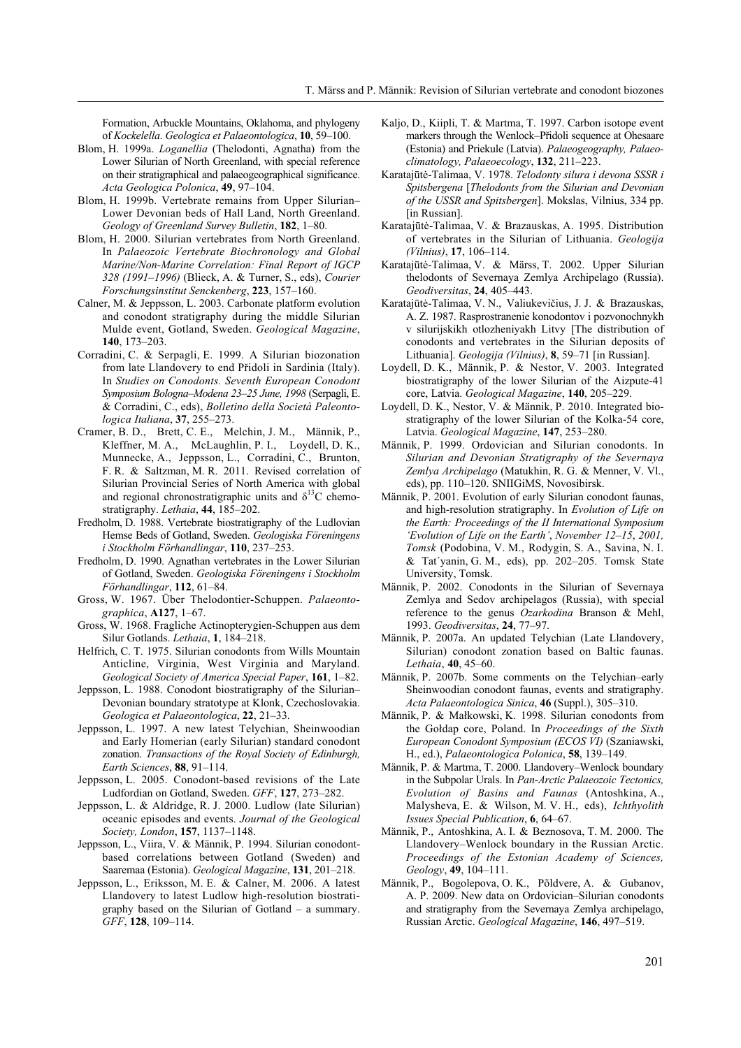Formation, Arbuckle Mountains, Oklahoma, and phylogeny of *Kockelella*. *Geologica et Palaeontologica*, 10, 59-100.

- Blom, H. 1999a. *Loganellia* (Thelodonti, Agnatha) from the Lower Silurian of North Greenland, with special reference on their stratigraphical and palaeogeographical significance. Acta Geologica Polonica, 49, 97-104.
- Blom, H. 1999b. Vertebrate remains from Upper Silurian-Lower Devonian beds of Hall Land, North Greenland. *Geology of Greenland Survey Bulletin*, 182, 1-80.
- Blom, H. 2000. Silurian vertebrates from North Greenland. In *Palaeozoic Vertebrate Biochronology and Global Marine/Non-Marine Correlation: Final Report of IGCP 328 (1991–1996)* (Blieck, A. & Turner, S., eds), *Courier Forschungsinstitut Senckenberg*, 223, 157-160.
- Calner, M. & Jeppsson, L. 2003. Carbonate platform evolution and conodont stratigraphy during the middle Silurian Mulde event, Gotland, Sweden. *Geological Magazine*, **140**, 173–203.
- Corradini, C. & Serpagli, E. 1999. A Silurian biozonation from late Llandovery to end Přidoli in Sardinia (Italy). In *Studies on Conodonts. Seventh European Conodont Symposium Bologna-Modena 23-25 June, 1998* (Serpagli, E.  $&$  Corradini, C., eds), *Bolletino della Società Paleontologica Italiana*, 37, 255-273.
- Cramer, B. D., Brett, C. E., Melchin, J. M., Männik, P., Kleffner, M. A., McLaughlin, P. I., Loydell, D. K., Munnecke, A., Jeppsson, L., Corradini, C., Brunton, F. R. & Saltzman, M. R. 2011. Revised correlation of Silurian Provincial Series of North America with global and regional chronostratigraphic units and  $\delta^{13}$ C chemostratigraphy. Lethaia, 44, 185-202.
- Fredholm, D. 1988. Vertebrate biostratigraphy of the Ludlovian Hemse Beds of Gotland, Sweden. *Geologiska Föreningens i* Stockholm Förhandlingar, 110, 237-253.
- Fredholm, D. 1990. Agnathan vertebrates in the Lower Silurian of Gotland, Sweden. *Geologiska Föreningens i Stockholm Förhandlingar*, 112, 61-84.
- Gross, W. 1967. Über Thelodontier-Schuppen. Palaeonto*graphica*, **A127**, 1-67.
- Gross, W. 1968. Fragliche Actinopterygien-Schuppen aus dem Silur Gotlands. *Lethaia*, 1, 184-218.
- Helfrich, C. T. 1975. Silurian conodonts from Wills Mountain Anticline, Virginia, West Virginia and Maryland. *Geological Society of America Special Paper*, 161, 1-82.
- Jeppsson, L. 1988. Conodont biostratigraphy of the Silurian– Devonian boundary stratotype at Klonk, Czechoslovakia. *Geologica et Palaeontologica*, 22, 21-33.
- Jeppsson, L. 1997. A new latest Telychian, Sheinwoodian and Early Homerian (early Silurian) standard conodont zonation. *Transactions of the Royal Society of Edinburgh, Earth Sciences*, 88, 91-114.
- Jeppsson, L. 2005. Conodont-based revisions of the Late Ludfordian on Gotland, Sweden. *GFF*, 127, 273-282.
- Jeppsson, L. & Aldridge, R. J. 2000. Ludlow (late Silurian) oceanic episodes and events. *Journal of the Geological Society, London, 157, 1137-1148.*
- Jeppsson, L., Viira, V. & Männik, P. 1994. Silurian conodontbased correlations between Gotland (Sweden) and Saaremaa (Estonia). *Geological Magazine*, **131**, 201–218.
- Jeppsson, L., Eriksson, M. E. & Calner, M. 2006. A latest Llandovery to latest Ludlow high-resolution biostratigraphy based on the Silurian of Gotland  $-$  a summary. *GFF*, 128, 109-114.
- Kaljo, D., Kiipli, T. & Martma, T. 1997. Carbon isotope event markers through the Wenlock–Přidoli sequence at Ohesaare (Estonia) and Priekule (Latvia). *Palaeogeography, Palaeoclimatology, Palaeoecology*, 132, 211-223.
- Karatajūtė-Talimaa, V. 1978. *Telodonty silura i devona SSSR i Spitsbergena* [*Thelodonts from the Silurian and Devonian of the USSR and Spitsbergen*]. Mokslas, Vilnius, 334 pp. [in Russian].
- Karatajūtė-Talimaa, V. & Brazauskas, A. 1995. Distribution of vertebrates in the Silurian of Lithuania. *Geologija (Vilnius)*, **17**, 106-114.
- Karatajūtė-Talimaa, V. & Märss, T. 2002. Upper Silurian thelodonts of Severnaya Zemlya Archipelago (Russia). *Geodiversitas*, 24, 405-443.
- Karatajūtė-Talimaa, V. N., Valiukevičius, J. J. & Brazauskas, A. Z. 1987. Rasprostranenie konodontov i pozvonochnykh v silurijskikh otlozheniyakh Litvy [The distribution of conodonts and vertebrates in the Silurian deposits of Lithuania]. *Geologija (Vilnius)*, 8, 59-71 [in Russian].
- Loydell, D. K., Männik, P. & Nestor, V. 2003. Integrated biostratigraphy of the lower Silurian of the Aizpute-41 core, Latvia. *Geological Magazine*, 140, 205-229.
- Loydell, D. K., Nestor, V. & Männik, P. 2010. Integrated biostratigraphy of the lower Silurian of the Kolka-54 core, Latvia. *Geological Magazine*, 147, 253-280.
- Männik, P. 1999. Ordovician and Silurian conodonts. In *Silurian and Devonian Stratigraphy of the Severnaya Zemlya Archipelago* (Matukhin, R. G. & Menner, V. Vl., eds), pp. 110-120. SNIIGiMS, Novosibirsk.
- Männik, P. 2001. Evolution of early Silurian conodont faunas, and high-resolution stratigraphy. In *Evolution of Life on the Earth: Proceedings of the II International Symposium <sup>t</sup>Evolution of Life on the Earth'*, *November 12–15*, 2001, *Tomsk* (Podobina, V. M., Rodygin, S. A., Savina, N. I. & Tat'yanin, G. M., eds), pp.  $202-205$ . Tomsk State University, Tomsk.
- Männik, P. 2002. Conodonts in the Silurian of Severnaya Zemlya and Sedov archipelagos (Russia), with special reference to the genus *Ozarkodina* Branson & Mehl, 1993. *Geodiversitas*, 24, 77-97.
- Männik, P. 2007a. An updated Telychian (Late Llandovery, Silurian) conodont zonation based on Baltic faunas. *Lethaia*, 40, 45-60.
- Männik, P. 2007b. Some comments on the Telychian-early Sheinwoodian conodont faunas, events and stratigraphy. *Acta Palaeontologica Sinica*, 46 (Suppl.), 305-310.
- M‰nnik, P. & Małkowski, K. 1998. Silurian conodonts from the Gołdap core, Poland. In *Proceedings of the Sixth European Conodont Symposium (ECOS VI)* (Szaniawski, H., ed.), *Palaeontologica Polonica*, **58**, 139-149.
- Männik, P. & Martma, T. 2000. Llandovery-Wenlock boundary in the Subpolar Urals. In *Pan-Arctic Palaeozoic Tectonics, Evolution of Basins and Faunas* (Antoshkina, A., Malysheva, E. & Wilson, M. V. H., eds), *Ichthyolith Issues Special Publication*, **6**, 64–67.
- M‰nnik, P., Antoshkina, A. I. & Beznosova, T. M. 2000. The Llandovery-Wenlock boundary in the Russian Arctic. *Proceedings of the Estonian Academy of Sciences, Geology*, **49**, 104-111.
- Männik, P., Bogolepova, O. K., Põldvere, A. & Gubanov, A. P. 2009. New data on Ordovician-Silurian conodonts and stratigraphy from the Severnaya Zemlya archipelago, Russian Arctic. *Geological Magazine*, 146, 497-519.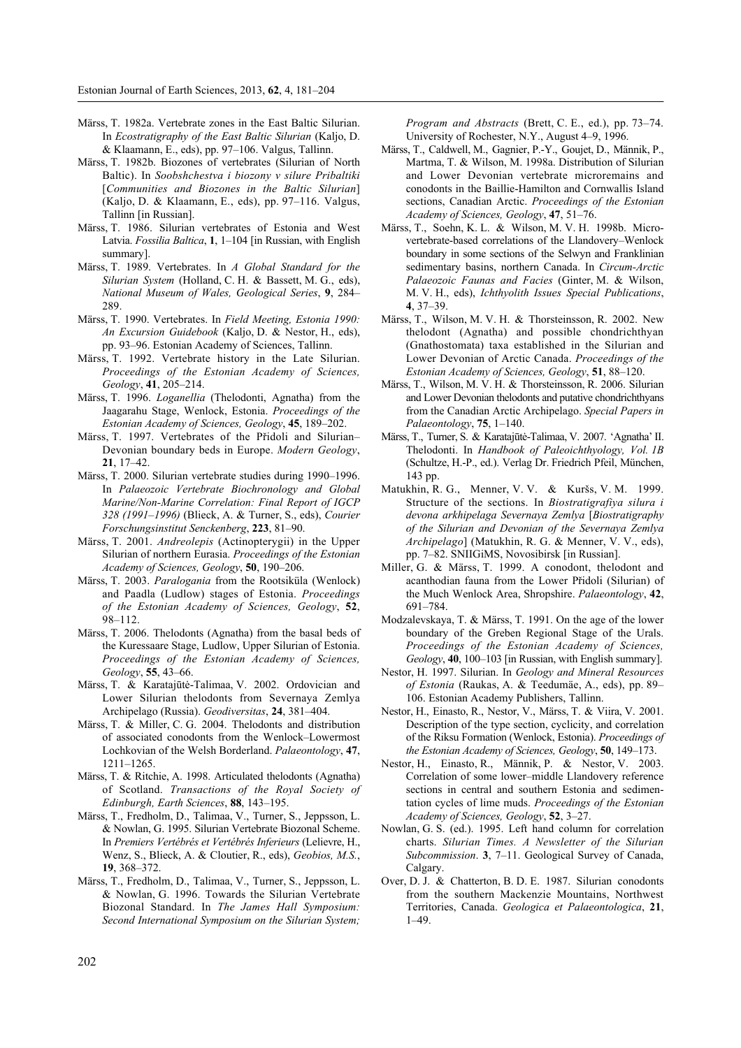- Märss, T. 1982a. Vertebrate zones in the East Baltic Silurian. In *Ecostratigraphy of the East Baltic Silurian* (Kaljo, D.  $&$  Klaamann, E., eds), pp. 97–106. Valgus, Tallinn.
- Märss, T. 1982b. Biozones of vertebrates (Silurian of North Baltic). In *Soobshchestva i biozony v silure Pribaltiki* [*Communities and Biozones in the Baltic Silurian*] (Kaljo, D. & Klaamann, E., eds), pp.  $97-116$ . Valgus, Tallinn [in Russian].
- Märss, T. 1986. Silurian vertebrates of Estonia and West Latvia. *Fossilia Baltica*, 1, 1-104 [in Russian, with English summary].
- M‰rss, T. 1989. Vertebrates. In *A Global Standard for the Silurian System* (Holland, C. H. & Bassett, M. G., eds), *National Museum of Wales, Geological Series*, 9, 284 289.
- M‰rss, T. 1990. Vertebrates. In *Field Meeting, Estonia 1990: An Excursion Guidebook* (Kaljo, D. & Nestor, H., eds), pp. 93-96. Estonian Academy of Sciences, Tallinn.
- Märss, T. 1992. Vertebrate history in the Late Silurian. *Proceedings of the Estonian Academy of Sciences, Geology*, 41, 205-214.
- M‰rss, T. 1996. *Loganellia* (Thelodonti, Agnatha) from the Jaagarahu Stage, Wenlock, Estonia. *Proceedings of the Estonian Academy of Sciences, Geology*, 45, 189–202.
- Märss, T. 1997. Vertebrates of the Přidoli and Silurian– Devonian boundary beds in Europe. *Modern Geology*, **21**, 17–42.
- Märss, T. 2000. Silurian vertebrate studies during 1990–1996. In *Palaeozoic Vertebrate Biochronology and Global Marine/Non-Marine Correlation: Final Report of IGCP 328 (1991–1996)* (Blieck, A. & Turner, S., eds), *Courier Forschungsinstitut Senckenberg*, 223, 81-90.
- M‰rss, T. 2001. *Andreolepis* (Actinopterygii) in the Upper Silurian of northern Eurasia. *Proceedings of the Estonian Academy of Sciences, Geology*, **50**, 190-206.
- Märss, T. 2003. *Paralogania* from the Rootsiküla (Wenlock) and Paadla (Ludlow) stages of Estonia. *Proceedings of the Estonian Academy of Sciences, Geology*, **52**, 98-112.
- Märss, T. 2006. Thelodonts (Agnatha) from the basal beds of the Kuressaare Stage, Ludlow, Upper Silurian of Estonia. *Proceedings of the Estonian Academy of Sciences, Geology*, 55, 43-66.
- M‰rss, T. & Karatajūtė-Talimaa, V. 2002. Ordovician and Lower Silurian thelodonts from Severnaya Zemlya Archipelago (Russia). *Geodiversitas*, 24, 381-404.
- Märss, T. & Miller, C. G. 2004. Thelodonts and distribution of associated conodonts from the Wenlock-Lowermost Lochkovian of the Welsh Borderland. *Palaeontology*, **47**,  $1211 - 1265$ .
- M‰rss, T. & Ritchie, A. 1998. Articulated thelodonts (Agnatha) of Scotland. *Transactions of the Royal Society of Edinburgh, Earth Sciences*, 88, 143-195.
- M‰rss, T., Fredholm, D., Talimaa, V., Turner, S., Jeppsson, L. & Nowlan, G. 1995. Silurian Vertebrate Biozonal Scheme. In *Premiers VertÈbrÈs et VertÈbrÈs Inferieurs* (Lelievre, H., Wenz, S., Blieck, A. & Cloutier, R., eds), *Geobios, M.S.*, **19**, 368–372.
- M‰rss, T., Fredholm, D., Talimaa, V., Turner, S., Jeppsson, L. & Nowlan, G. 1996. Towards the Silurian Vertebrate Biozonal Standard. In *The James Hall Symposium: Second International Symposium on the Silurian System;*

*Program and Abstracts* (Brett, C. E., ed.), pp. 73-74. University of Rochester, N.Y., August 4–9, 1996.

- Märss, T., Caldwell, M., Gagnier, P.-Y., Goujet, D., Männik, P., Martma, T. & Wilson, M. 1998a. Distribution of Silurian and Lower Devonian vertebrate microremains and conodonts in the Baillie-Hamilton and Cornwallis Island sections, Canadian Arctic. *Proceedings of the Estonian Academy of Sciences, Geology*, 47, 51-76.
- Märss, T., Soehn, K. L. & Wilson, M. V. H. 1998b. Microvertebrate-based correlations of the Llandovery-Wenlock boundary in some sections of the Selwyn and Franklinian sedimentary basins, northern Canada. In *Circum-Arctic Palaeozoic Faunas and Facies* (Ginter, M. & Wilson, M. V. H., eds), *Ichthyolith Issues Special Publications*, **4**, 37–39.
- Märss, T., Wilson, M. V. H. & Thorsteinsson, R. 2002. New thelodont (Agnatha) and possible chondrichthyan (Gnathostomata) taxa established in the Silurian and Lower Devonian of Arctic Canada. *Proceedings of the Estonian Academy of Sciences, Geology*, **51**, 88-120.
- M‰rss, T., Wilson, M. V. H. & Thorsteinsson, R. 2006. Silurian and Lower Devonian thelodonts and putative chondrichthyans from the Canadian Arctic Archipelago. *Special Papers in Palaeontology*, 75, 1-140.
- Märss, T., Turner, S. & Karatajūtė-Talimaa, V. 2007. 'Agnatha' II. Thelodonti. In *Handbook of Paleoichthyology, Vol. 1B* (Schultze, H.-P., ed.). Verlag Dr. Friedrich Pfeil, München, 143 pp.
- Matukhin, R. G., Menner, V. V. & Kurös, V. M. 1999. Structure of the sections. In *Biostratigrafiya silura i devona arkhipelaga Severnaya Zemlya* [*Biostratigraphy of the Silurian and Devonian of the Severnaya Zemlya Archipelago*] (Matukhin, R. G. & Menner, V. V., eds), pp. 7-82. SNIIGiMS, Novosibirsk [in Russian].
- Miller, G. & Märss, T. 1999. A conodont, thelodont and acanthodian fauna from the Lower Přidoli (Silurian) of the Much Wenlock Area, Shropshire. *Palaeontology*, **42**, 691-784.
- Modzalevskaya, T. & Märss, T. 1991. On the age of the lower boundary of the Greben Regional Stage of the Urals. *Proceedings of the Estonian Academy of Sciences, Geology*, **40**, 100–103 [in Russian, with English summary].
- Nestor, H. 1997. Silurian. In *Geology and Mineral Resources*  of Estonia (Raukas, A. & Teedumäe, A., eds), pp. 89– 106. Estonian Academy Publishers, Tallinn.
- Nestor, H., Einasto, R., Nestor, V., Märss, T. & Viira, V. 2001. Description of the type section, cyclicity, and correlation of the Riksu Formation (Wenlock, Estonia). *Proceedings of the Estonian Academy of Sciences, Geology*, **50**, 149-173.
- Nestor, H., Einasto, R., Männik, P. & Nestor, V. 2003. Correlation of some lower-middle Llandovery reference sections in central and southern Estonia and sedimentation cycles of lime muds. *Proceedings of the Estonian Academy of Sciences, Geology*, **52**, 3-27.
- Nowlan, G. S. (ed.). 1995. Left hand column for correlation charts. *Silurian Times. A Newsletter of the Silurian Subcommission*. **3**, 7-11. Geological Survey of Canada, Calgary.
- Over, D. J. & Chatterton, B. D. E. 1987. Silurian conodonts from the southern Mackenzie Mountains, Northwest Territories, Canada. *Geologica et Palaeontologica*, **21**,  $1 - 49$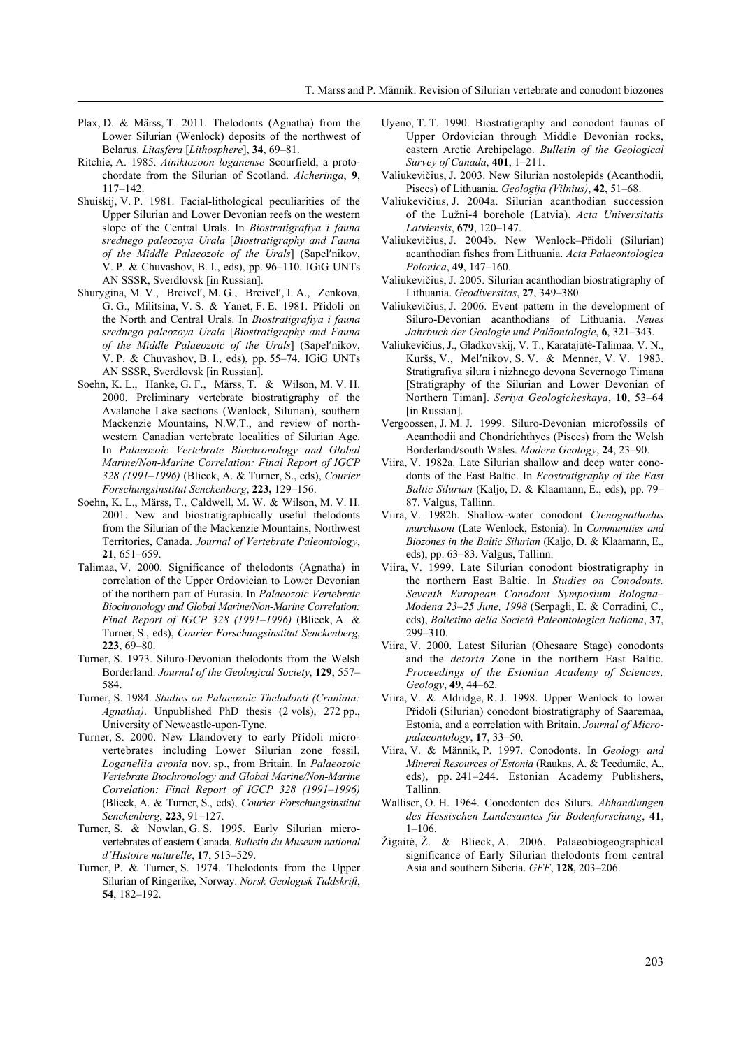- Plax, D. & Märss, T. 2011. Thelodonts (Agnatha) from the Lower Silurian (Wenlock) deposits of the northwest of Belarus. *Litasfera* [*Lithosphere*], 34, 69-81.
- Ritchie, A. 1985. *Ainiktozoon loganense* Scourfield, a protochordate from the Silurian of Scotland. *Alcheringa*, **9**,  $117 - 142$
- Shuiskij, V. P. 1981. Facial-lithological peculiarities of the Upper Silurian and Lower Devonian reefs on the western slope of the Central Urals. In *Biostratigrafiya i fauna srednego paleozoya Urala* [*Biostratigraphy and Fauna of the Middle Palaeozoic of the Urals*] (Sapel′nikov, V. P. & Chuvashov, B. I., eds), pp. 96-110. IGiG UNTs AN SSSR, Sverdlovsk [in Russian].
- Shurygina, M. V., Breivel′, M. G., Breivel′, I. A., Zenkova, G. G., Militsina, V. S. & Yanet, F. E. 1981. Přidoli on the North and Central Urals. In *Biostratigrafiya i fauna srednego paleozoya Urala* [*Biostratigraphy and Fauna of the Middle Palaeozoic of the Urals*] (Sapel′nikov, V. P. & Chuvashov, B. I., eds), pp. 55-74. IGiG UNTs AN SSSR, Sverdlovsk [in Russian].
- Soehn, K. L., Hanke, G. F., Märss, T. & Wilson, M. V. H. 2000. Preliminary vertebrate biostratigraphy of the Avalanche Lake sections (Wenlock, Silurian), southern Mackenzie Mountains, N.W.T., and review of northwestern Canadian vertebrate localities of Silurian Age. In *Palaeozoic Vertebrate Biochronology and Global Marine/Non-Marine Correlation: Final Report of IGCP 328 (1991–1996)* (Blieck, A. & Turner, S., eds), *Courier Forschungsinstitut Senckenberg*, 223, 129-156.
- Soehn, K. L., Märss, T., Caldwell, M. W. & Wilson, M. V. H. 2001. New and biostratigraphically useful thelodonts from the Silurian of the Mackenzie Mountains, Northwest Territories, Canada. *Journal of Vertebrate Paleontology*, **21**, 651–659.
- Talimaa, V. 2000. Significance of thelodonts (Agnatha) in correlation of the Upper Ordovician to Lower Devonian of the northern part of Eurasia. In *Palaeozoic Vertebrate Biochronology and Global Marine/Non-Marine Correlation: Final Report of IGCP 328 (1991-1996)* (Blieck, A. & Turner, S., eds), *Courier Forschungsinstitut Senckenberg*, **223**, 69-80.
- Turner, S. 1973. Siluro-Devonian thelodonts from the Welsh Borderland. *Journal of the Geological Society*, 129, 557-584.
- Turner, S. 1984. *Studies on Palaeozoic Thelodonti (Craniata: Agnatha)*. Unpublished PhD thesis (2 vols), 272 pp., University of Newcastle-upon-Tyne.
- Turner, S. 2000. New Llandovery to early Přidoli microvertebrates including Lower Silurian zone fossil, *Loganellia avonia* nov. sp., from Britain. In *Palaeozoic Vertebrate Biochronology and Global Marine/Non-Marine Correlation: Final Report of IGCP 328 (1991–1996)* (Blieck, A. & Turner, S., eds), *Courier Forschungsinstitut Senckenberg*, 223, 91-127.
- Turner, S. & Nowlan, G. S. 1995. Early Silurian microvertebrates of eastern Canada. *Bulletin du Museum national d'Histoire naturelle*, 17, 513-529.
- Turner, P. & Turner, S. 1974. Thelodonts from the Upper Silurian of Ringerike, Norway. *Norsk Geologisk Tiddskrift*, **54**, 182-192.
- Uyeno, T. T. 1990. Biostratigraphy and conodont faunas of Upper Ordovician through Middle Devonian rocks, eastern Arctic Archipelago. *Bulletin of the Geological Survey of Canada*, 401, 1-211.
- Valiukevičius, J. 2003. New Silurian nostolepids (Acanthodii, Pisces) of Lithuania. *Geologija (Vilnius)*, 42, 51–68.
- Valiukevičius, J. 2004a. Silurian acanthodian succession of the Luûni-4 borehole (Latvia). *Acta Universitatis Latviensis*, 679, 120-147.
- Valiukevičius, J. 2004b. New Wenlock-Přidoli (Silurian) acanthodian fishes from Lithuania. *Acta Palaeontologica Polonica*, 49, 147-160.
- Valiukevičius, J. 2005. Silurian acanthodian biostratigraphy of Lithuania. *Geodiversitas*, 27, 349-380.
- Valiukevičius, J. 2006. Event pattern in the development of Siluro-Devonian acanthodians of Lithuania. *Neues Jahrbuch der Geologie und Paläontologie*, **6**, 321-343.
- Valiukevičius, J., Gladkovskij, V. T., Karatajūtė-Talimaa, V. N., Kurös, V., Mel′nikov, S. V. & Menner, V. V. 1983. Stratigrafiya silura i nizhnego devona Severnogo Timana [Stratigraphy of the Silurian and Lower Devonian of Northern Timan]. *Seriya Geologicheskaya*, 10, 53-64 [in Russian].
- Vergoossen, J. M. J. 1999. Siluro-Devonian microfossils of Acanthodii and Chondrichthyes (Pisces) from the Welsh Borderland/south Wales. Modern Geology, 24, 23-90.
- Viira, V. 1982a. Late Silurian shallow and deep water conodonts of the East Baltic. In *Ecostratigraphy of the East Baltic Silurian* (Kaljo, D. & Klaamann, E., eds), pp. 79– 87. Valgus, Tallinn.
- Viira, V. 1982b. Shallow-water conodont *Ctenognathodus murchisoni* (Late Wenlock, Estonia). In *Communities and Biozones in the Baltic Silurian* (Kaljo, D. & Klaamann, E., eds), pp. 63–83. Valgus, Tallinn.
- Viira, V. 1999. Late Silurian conodont biostratigraphy in the northern East Baltic. In *Studies on Conodonts.*  Seventh European Conodont Symposium Bologna-*Modena 23-25 June, 1998* (Serpagli, E. & Corradini, C. eds), *Bolletino della Società Paleontologica Italiana*, 37, 299-310.
- Viira, V. 2000. Latest Silurian (Ohesaare Stage) conodonts and the *detorta* Zone in the northern East Baltic. *Proceedings of the Estonian Academy of Sciences, Geology*, **49**, 44-62.
- Viira, V. & Aldridge, R. J. 1998. Upper Wenlock to lower Přidoli (Silurian) conodont biostratigraphy of Saaremaa, Estonia, and a correlation with Britain. *Journal of Micropalaeontology*, 17, 33-50.
- Viira, V. & M‰nnik, P. 1997. Conodonts. In *Geology and Mineral Resources of Estonia* (Raukas, A. & Teedumäe, A., eds), pp. 241-244. Estonian Academy Publishers, Tallinn.
- Walliser, O. H. 1964. Conodonten des Silurs. *Abhandlungen*  des Hessischen Landesamtes für Bodenforschung, 41,  $1 - 106$
- $\check{Z}$ igaitė,  $\check{Z}$ . & Blieck, A. 2006. Palaeobiogeographical significance of Early Silurian thelodonts from central Asia and southern Siberia. *GFF*, 128, 203-206.